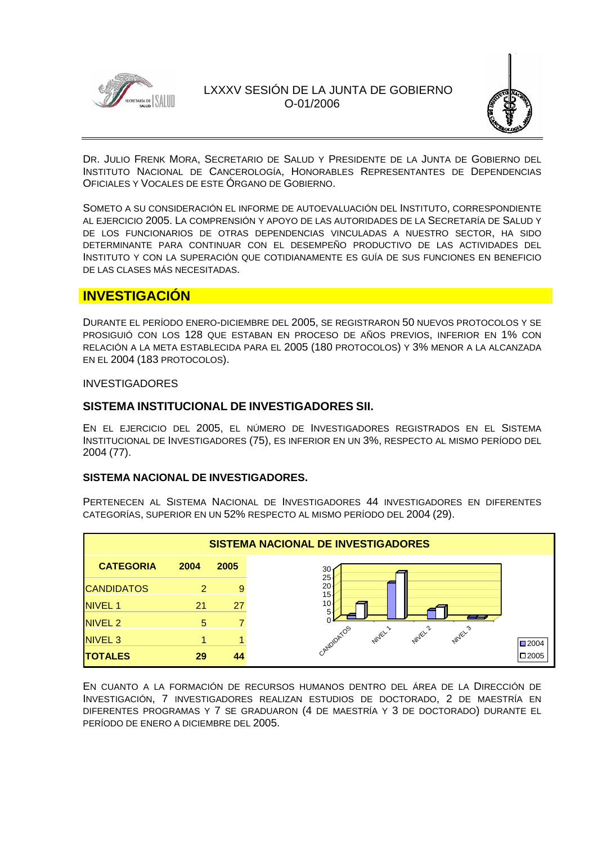



DR. JULIO FRENK MORA, SECRETARIO DE SALUD Y PRESIDENTE DE LA JUNTA DE GOBIERNO DEL INSTITUTO NACIONAL DE CANCEROLOGÍA, HONORABLES REPRESENTANTES DE DEPENDENCIAS OFICIALES Y VOCALES DE ESTE ÓRGANO DE GOBIERNO.

SOMETO A SU CONSIDERACIÓN EL INFORME DE AUTOEVALUACIÓN DEL INSTITUTO, CORRESPONDIENTE AL EJERCICIO 2005. LA COMPRENSIÓN Y APOYO DE LAS AUTORIDADES DE LA SECRETARÍA DE SALUD Y DE LOS FUNCIONARIOS DE OTRAS DEPENDENCIAS VINCULADAS A NUESTRO SECTOR, HA SIDO DETERMINANTE PARA CONTINUAR CON EL DESEMPEÑO PRODUCTIVO DE LAS ACTIVIDADES DEL INSTITUTO Y CON LA SUPERACIÓN QUE COTIDIANAMENTE ES GUÍA DE SUS FUNCIONES EN BENEFICIO DE LAS CLASES MÁS NECESITADAS.

# **INVESTIGACIÓN**

DURANTE EL PERÍODO ENERO-DICIEMBRE DEL 2005, SE REGISTRARON 50 NUEVOS PROTOCOLOS Y SE PROSIGUIÓ CON LOS 128 QUE ESTABAN EN PROCESO DE AÑOS PREVIOS, INFERIOR EN 1% CON RELACIÓN A LA META ESTABLECIDA PARA EL 2005 (180 PROTOCOLOS) Y 3% MENOR A LA ALCANZADA EN EL 2004 (183 PROTOCOLOS).

### INVESTIGADORES

### **SISTEMA INSTITUCIONAL DE INVESTIGADORES SII.**

EN EL EJERCICIO DEL 2005, EL NÚMERO DE INVESTIGADORES REGISTRADOS EN EL SISTEMA INSTITUCIONAL DE INVESTIGADORES (75), ES INFERIOR EN UN 3%, RESPECTO AL MISMO PERÍODO DEL 2004 (77).

### **SISTEMA NACIONAL DE INVESTIGADORES.**

PERTENECEN AL SISTEMA NACIONAL DE INVESTIGADORES 44 INVESTIGADORES EN DIFERENTES CATEGORÍAS, SUPERIOR EN UN 52% RESPECTO AL MISMO PERÍODO DEL 2004 (29).

| SISTEMA NACIONAL DE INVESTIGADORES |      |      |                                                               |  |
|------------------------------------|------|------|---------------------------------------------------------------|--|
| <b>CATEGORIA</b>                   | 2004 | 2005 | $30 -$                                                        |  |
| <b>CANDIDATOS</b>                  | 2    | 9    | 25<br>$20 -$<br>15 <sup>1</sup>                               |  |
| <b>NIVEL 1</b>                     | 21   | 27   | 10 <sub>1</sub><br>5                                          |  |
| <b>NIVEL 2</b>                     | 5    |      |                                                               |  |
| <b>NIVEL 3</b>                     |      |      | CANDIDATOS<br><b>NUVEL2</b><br><b>NUVEL</b> 3<br><b>NUTEL</b> |  |
| <b>TOTALES</b>                     | 29   | 44   |                                                               |  |

EN CUANTO A LA FORMACIÓN DE RECURSOS HUMANOS DENTRO DEL ÁREA DE LA DIRECCIÓN DE INVESTIGACIÓN, 7 INVESTIGADORES REALIZAN ESTUDIOS DE DOCTORADO, 2 DE MAESTRÍA EN DIFERENTES PROGRAMAS Y 7 SE GRADUARON (4 DE MAESTRÍA Y 3 DE DOCTORADO) DURANTE EL PERÍODO DE ENERO A DICIEMBRE DEL 2005.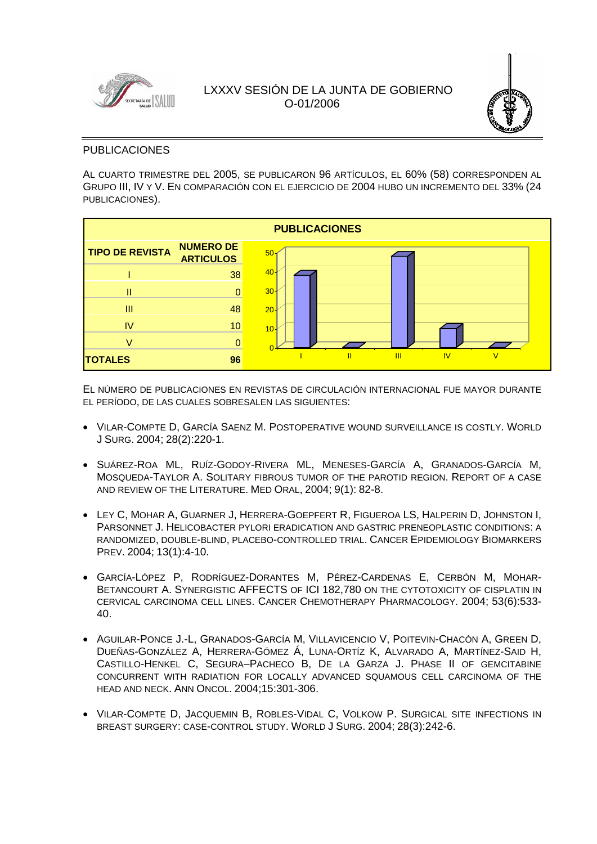



### PUBLICACIONES

AL CUARTO TRIMESTRE DEL 2005, SE PUBLICARON 96 ARTÍCULOS, EL 60% (58) CORRESPONDEN AL GRUPO III, IV Y V. EN COMPARACIÓN CON EL EJERCICIO DE 2004 HUBO UN INCREMENTO DEL 33% (24 PUBLICACIONES).



EL NÚMERO DE PUBLICACIONES EN REVISTAS DE CIRCULACIÓN INTERNACIONAL FUE MAYOR DURANTE EL PERÍODO, DE LAS CUALES SOBRESALEN LAS SIGUIENTES:

- VILAR-COMPTE D, GARCÍA SAENZ M. POSTOPERATIVE WOUND SURVEILLANCE IS COSTLY. WORLD J SURG. 2004; 28(2):220-1.
- SUÁREZ-ROA ML, RUÍZ-GODOY-RIVERA ML, MENESES-GARCÍA A, GRANADOS-GARCÍA M, MOSQUEDA-TAYLOR A. SOLITARY FIBROUS TUMOR OF THE PAROTID REGION. REPORT OF A CASE AND REVIEW OF THE LITERATURE. MED ORAL, 2004; 9(1): 82-8.
- LEY C, MOHAR A, GUARNER J, HERRERA-GOEPFERT R, FIGUEROA LS, HALPERIN D, JOHNSTON I, PARSONNET J. HELICOBACTER PYLORI ERADICATION AND GASTRIC PRENEOPLASTIC CONDITIONS: A RANDOMIZED, DOUBLE-BLIND, PLACEBO-CONTROLLED TRIAL. CANCER EPIDEMIOLOGY BIOMARKERS PREV. 2004; 13(1):4-10.
- GARCÍA-LÓPEZ P, RODRÍGUEZ-DORANTES M, PÉREZ-CARDENAS E, CERBÓN M, MOHAR-BETANCOURT A. SYNERGISTIC AFFECTS OF ICI 182,780 ON THE CYTOTOXICITY OF CISPLATIN IN CERVICAL CARCINOMA CELL LINES. CANCER CHEMOTHERAPY PHARMACOLOGY. 2004; 53(6):533- 40.
- AGUILAR-PONCE J.-L, GRANADOS-GARCÍA M, VILLAVICENCIO V, POITEVIN-CHACÓN A, GREEN D, DUEÑAS-GONZÁLEZ A, HERRERA-GÓMEZ Á, LUNA-ORTÍZ K, ALVARADO A, MARTÍNEZ-SAID H, CASTILLO-HENKEL C, SEGURA–PACHECO B, DE LA GARZA J. PHASE II OF GEMCITABINE CONCURRENT WITH RADIATION FOR LOCALLY ADVANCED SQUAMOUS CELL CARCINOMA OF THE HEAD AND NECK. ANN ONCOL. 2004;15:301-306.
- VILAR-COMPTE D, JACQUEMIN B, ROBLES-VIDAL C, VOLKOW P. SURGICAL SITE INFECTIONS IN BREAST SURGERY: CASE-CONTROL STUDY. WORLD J SURG. 2004; 28(3):242-6.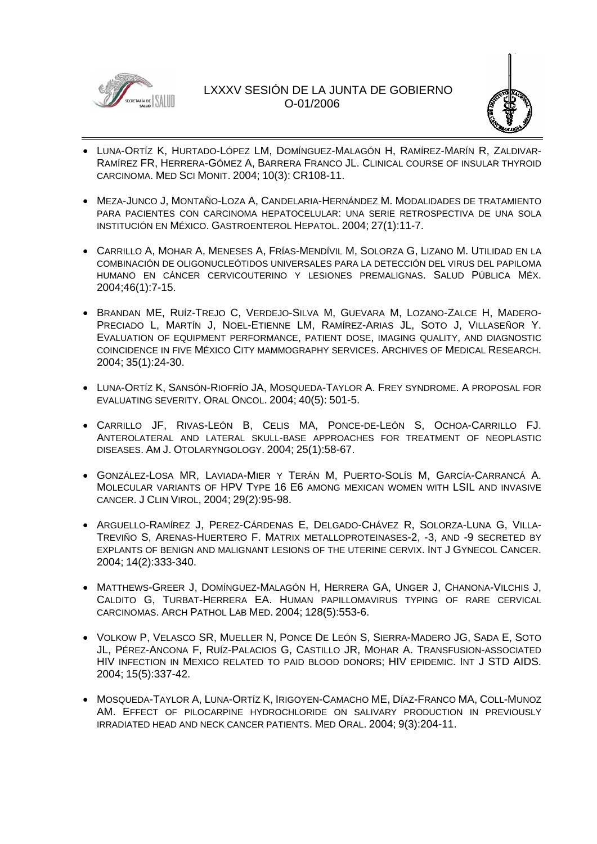



- LUNA-ORTÍZ K, HURTADO-LÓPEZ LM, DOMÍNGUEZ-MALAGÓN H, RAMÍREZ-MARÍN R, ZALDIVAR-RAMÍREZ FR, HERRERA-GÓMEZ A, BARRERA FRANCO JL. CLINICAL COURSE OF INSULAR THYROID CARCINOMA. MED SCI MONIT. 2004; 10(3): CR108-11.
- MEZA-JUNCO J, MONTAÑO-LOZA A, CANDELARIA-HERNÁNDEZ M. MODALIDADES DE TRATAMIENTO PARA PACIENTES CON CARCINOMA HEPATOCELULAR: UNA SERIE RETROSPECTIVA DE UNA SOLA INSTITUCIÓN EN MÉXICO. GASTROENTEROL HEPATOL. 2004; 27(1):11-7.
- CARRILLO A, MOHAR A, MENESES A, FRÍAS-MENDÍVIL M, SOLORZA G, LIZANO M. UTILIDAD EN LA COMBINACIÓN DE OLIGONUCLEÓTIDOS UNIVERSALES PARA LA DETECCIÓN DEL VIRUS DEL PAPILOMA HUMANO EN CÁNCER CERVICOUTERINO Y LESIONES PREMALIGNAS. SALUD PÚBLICA MÉX. 2004;46(1):7-15.
- BRANDAN ME, RUÍZ-TREJO C, VERDEJO-SILVA M, GUEVARA M, LOZANO-ZALCE H, MADERO-PRECIADO L, MARTÍN J, NOEL-ETIENNE LM, RAMÍREZ-ARIAS JL, SOTO J, VILLASEÑOR Y. EVALUATION OF EQUIPMENT PERFORMANCE, PATIENT DOSE, IMAGING QUALITY, AND DIAGNOSTIC COINCIDENCE IN FIVE MÉXICO CITY MAMMOGRAPHY SERVICES. ARCHIVES OF MEDICAL RESEARCH. 2004; 35(1):24-30.
- LUNA-ORTÍZ K, SANSÓN-RIOFRÍO JA, MOSQUEDA-TAYLOR A. FREY SYNDROME. A PROPOSAL FOR EVALUATING SEVERITY. ORAL ONCOL. 2004; 40(5): 501-5.
- CARRILLO JF, RIVAS-LEÓN B, CELIS MA, PONCE-DE-LEÓN S, OCHOA-CARRILLO FJ. ANTEROLATERAL AND LATERAL SKULL-BASE APPROACHES FOR TREATMENT OF NEOPLASTIC DISEASES. AM J. OTOLARYNGOLOGY. 2004; 25(1):58-67.
- GONZÁLEZ-LOSA MR, LAVIADA-MIER Y TERÁN M, PUERTO-SOLÍS M, GARCÍA-CARRANCÁ A. MOLECULAR VARIANTS OF HPV TYPE 16 E6 AMONG MEXICAN WOMEN WITH LSIL AND INVASIVE CANCER. J CLIN VIROL, 2004; 29(2):95-98.
- ARGUELLO-RAMÍREZ J, PEREZ-CÁRDENAS E, DELGADO-CHÁVEZ R, SOLORZA-LUNA G, VILLA-TREVIÑO S, ARENAS-HUERTERO F. MATRIX METALLOPROTEINASES-2, -3, AND -9 SECRETED BY EXPLANTS OF BENIGN AND MALIGNANT LESIONS OF THE UTERINE CERVIX. INT J GYNECOL CANCER. 2004; 14(2):333-340.
- MATTHEWS-GREER J, DOMÍNGUEZ-MALAGÓN H, HERRERA GA, UNGER J, CHANONA-VILCHIS J, CALDITO G, TURBAT-HERRERA EA. HUMAN PAPILLOMAVIRUS TYPING OF RARE CERVICAL CARCINOMAS. ARCH PATHOL LAB MED. 2004; 128(5):553-6.
- VOLKOW P, VELASCO SR, MUELLER N, PONCE DE LEÓN S, SIERRA-MADERO JG, SADA E, SOTO JL, PÉREZ-ANCONA F, RUÍZ-PALACIOS G, CASTILLO JR, MOHAR A. TRANSFUSION-ASSOCIATED HIV INFECTION IN MEXICO RELATED TO PAID BLOOD DONORS; HIV EPIDEMIC. INT J STD AIDS. 2004; 15(5):337-42.
- MOSQUEDA-TAYLOR A, LUNA-ORTÍZ K, IRIGOYEN-CAMACHO ME, DÍAZ-FRANCO MA, COLL-MUNOZ AM. EFFECT OF PILOCARPINE HYDROCHLORIDE ON SALIVARY PRODUCTION IN PREVIOUSLY IRRADIATED HEAD AND NECK CANCER PATIENTS. MED ORAL. 2004; 9(3):204-11.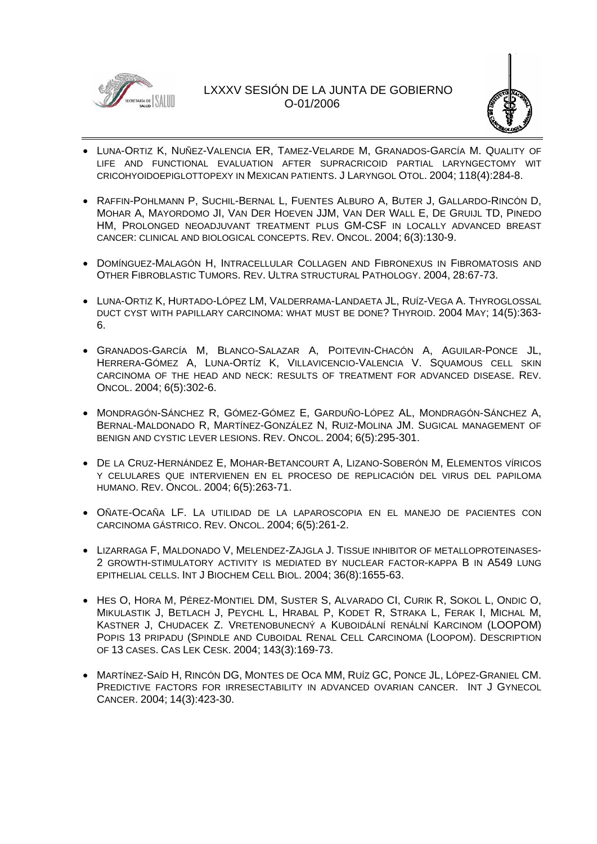



- LUNA-ORTIZ K, NUÑEZ-VALENCIA ER, TAMEZ-VELARDE M, GRANADOS-GARCÍA M. QUALITY OF LIFE AND FUNCTIONAL EVALUATION AFTER SUPRACRICOID PARTIAL LARYNGECTOMY WIT CRICOHYOIDOEPIGLOTTOPEXY IN MEXICAN PATIENTS. J LARYNGOL OTOL. 2004; 118(4):284-8.
- RAFFIN-POHLMANN P, SUCHIL-BERNAL L, FUENTES ALBURO A, BUTER J, GALLARDO-RINCÓN D, MOHAR A, MAYORDOMO JI, VAN DER HOEVEN JJM, VAN DER WALL E, DE GRUIJL TD, PINEDO HM, PROLONGED NEOADJUVANT TREATMENT PLUS GM-CSF IN LOCALLY ADVANCED BREAST CANCER: CLINICAL AND BIOLOGICAL CONCEPTS. REV. ONCOL. 2004; 6(3):130-9.
- DOMÍNGUEZ-MALAGÓN H, INTRACELLULAR COLLAGEN AND FIBRONEXUS IN FIBROMATOSIS AND OTHER FIBROBLASTIC TUMORS. REV. ULTRA STRUCTURAL PATHOLOGY. 2004, 28:67-73.
- LUNA-ORTIZ K, HURTADO-LÓPEZ LM, VALDERRAMA-LANDAETA JL, RUÍZ-VEGA A. THYROGLOSSAL DUCT CYST WITH PAPILLARY CARCINOMA: WHAT MUST BE DONE? THYROID. 2004 MAY; 14(5):363- 6.
- GRANADOS-GARCÍA M, BLANCO-SALAZAR A, POITEVIN-CHACÓN A, AGUILAR-PONCE JL, HERRERA-GÓMEZ A, LUNA-ORTÍZ K, VILLAVICENCIO-VALENCIA V. SQUAMOUS CELL SKIN CARCINOMA OF THE HEAD AND NECK: RESULTS OF TREATMENT FOR ADVANCED DISEASE. REV. ONCOL. 2004; 6(5):302-6.
- MONDRAGÓN-SÁNCHEZ R, GÓMEZ-GÓMEZ E, GARDUÑO-LÓPEZ AL, MONDRAGÓN-SÁNCHEZ A, BERNAL-MALDONADO R, MARTÍNEZ-GONZÁLEZ N, RUIZ-MOLINA JM. SUGICAL MANAGEMENT OF BENIGN AND CYSTIC LEVER LESIONS. REV. ONCOL. 2004; 6(5):295-301.
- DE LA CRUZ-HERNÁNDEZ E, MOHAR-BETANCOURT A, LIZANO-SOBERÓN M, ELEMENTOS VÍRICOS Y CELULARES QUE INTERVIENEN EN EL PROCESO DE REPLICACIÓN DEL VIRUS DEL PAPILOMA HUMANO. REV. ONCOL. 2004; 6(5):263-71.
- OÑATE-OCAÑA LF. LA UTILIDAD DE LA LAPAROSCOPIA EN EL MANEJO DE PACIENTES CON CARCINOMA GÁSTRICO. REV. ONCOL. 2004; 6(5):261-2.
- LIZARRAGA F, MALDONADO V, MELENDEZ-ZAJGLA J. TISSUE INHIBITOR OF METALLOPROTEINASES-2 GROWTH-STIMULATORY ACTIVITY IS MEDIATED BY NUCLEAR FACTOR-KAPPA B IN A549 LUNG EPITHELIAL CELLS. INT J BIOCHEM CELL BIOL. 2004; 36(8):1655-63.
- HES O, HORA M, PÉREZ-MONTIEL DM, SUSTER S, ALVARADO CI, CURIK R, SOKOL L, ONDIC O, MIKULASTIK J, BETLACH J, PEYCHL L, HRABAL P, KODET R, STRAKA L, FERAK I, MICHAL M, KASTNER J, CHUDACEK Z. VRETENOBUNECNÝ A KUBOIDÁLNÍ RENÁLNÍ KARCINOM (LOOPOM) POPIS 13 PRIPADU (SPINDLE AND CUBOIDAL RENAL CELL CARCINOMA (LOOPOM). DESCRIPTION OF 13 CASES. CAS LEK CESK. 2004; 143(3):169-73.
- MARTÍNEZ-SAÍD H, RINCÓN DG, MONTES DE OCA MM, RUÍZ GC, PONCE JL, LÓPEZ-GRANIEL CM. PREDICTIVE FACTORS FOR IRRESECTABILITY IN ADVANCED OVARIAN CANCER. INT J GYNECOL CANCER. 2004; 14(3):423-30.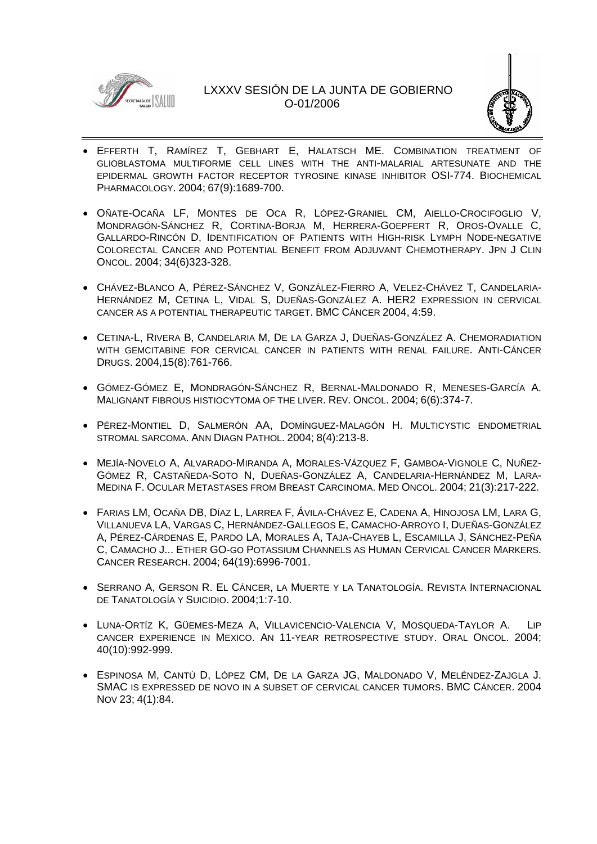



- EFFERTH T, RAMÍREZ T, GEBHART E, HALATSCH ME. COMBINATION TREATMENT OF GLIOBLASTOMA MULTIFORME CELL LINES WITH THE ANTI-MALARIAL ARTESUNATE AND THE EPIDERMAL GROWTH FACTOR RECEPTOR TYROSINE KINASE INHIBITOR OSI-774. BIOCHEMICAL PHARMACOLOGY. 2004; 67(9):1689-700.
- OÑATE-OCAÑA LF, MONTES DE OCA R, LÓPEZ-GRANIEL CM, AIELLO-CROCIFOGLIO V, MONDRAGÓN-SÁNCHEZ R, CORTINA-BORJA M, HERRERA-GOEPFERT R, OROS-OVALLE C, GALLARDO-RINCÓN D, IDENTIFICATION OF PATIENTS WITH HIGH-RISK LYMPH NODE-NEGATIVE COLORECTAL CANCER AND POTENTIAL BENEFIT FROM ADJUVANT CHEMOTHERAPY. JPN J CLIN ONCOL. 2004; 34(6)323-328.
- CHÁVEZ-BLANCO A, PÉREZ-SÁNCHEZ V, GONZÁLEZ-FIERRO A, VELEZ-CHÁVEZ T, CANDELARIA-HERNÁNDEZ M, CETINA L, VIDAL S, DUEÑAS-GONZÁLEZ A. HER2 EXPRESSION IN CERVICAL CANCER AS A POTENTIAL THERAPEUTIC TARGET. BMC CÁNCER 2004, 4:59.
- CETINA-L, RIVERA B, CANDELARIA M, DE LA GARZA J, DUEÑAS-GONZÁLEZ A. CHEMORADIATION WITH GEMCITABINE FOR CERVICAL CANCER IN PATIENTS WITH RENAL FAILURE. ANTI-CÁNCER DRUGS. 2004,15(8):761-766.
- GÓMEZ-GÓMEZ E, MONDRAGÓN-SÁNCHEZ R, BERNAL-MALDONADO R, MENESES-GARCÍA A. MALIGNANT FIBROUS HISTIOCYTOMA OF THE LIVER. REV. ONCOL. 2004; 6(6):374-7.
- PÉREZ-MONTIEL D, SALMERÓN AA, DOMÍNGUEZ-MALAGÓN H. MULTICYSTIC ENDOMETRIAL STROMAL SARCOMA. ANN DIAGN PATHOL. 2004; 8(4):213-8.
- MEJÍA-NOVELO A, ALVARADO-MIRANDA A, MORALES-VÁZQUEZ F, GAMBOA-VIGNOLE C, NUÑEZ-GÓMEZ R, CASTAÑEDA-SOTO N, DUEÑAS-GONZÁLEZ A, CANDELARIA-HERNÁNDEZ M, LARA-MEDINA F. OCULAR METASTASES FROM BREAST CARCINOMA. MED ONCOL. 2004; 21(3):217-222.
- FARIAS LM, OCAÑA DB, DÍAZ L, LARREA F, ÁVILA-CHÁVEZ E, CADENA A, HINOJOSA LM, LARA G, VILLANUEVA LA, VARGAS C, HERNÁNDEZ-GALLEGOS E, CAMACHO-ARROYO I, DUEÑAS-GONZÁLEZ A, PÉREZ-CÁRDENAS E, PARDO LA, MORALES A, TAJA-CHAYEB L, ESCAMILLA J, SÁNCHEZ-PEÑA C, CAMACHO J... ETHER GO-GO POTASSIUM CHANNELS AS HUMAN CERVICAL CANCER MARKERS. CANCER RESEARCH. 2004; 64(19):6996-7001.
- SERRANO A, GERSON R. EL CÁNCER, LA MUERTE Y LA TANATOLOGÍA. REVISTA INTERNACIONAL DE TANATOLOGÍA Y SUICIDIO. 2004;1:7-10.
- LUNA-ORTÍZ K, GÜEMES-MEZA A, VILLAVICENCIO-VALENCIA V, MOSQUEDA-TAYLOR A. LIP CANCER EXPERIENCE IN MEXICO. AN 11-YEAR RETROSPECTIVE STUDY. ORAL ONCOL. 2004; 40(10):992-999.
- ESPINOSA M, CANTÚ D, LÓPEZ CM, DE LA GARZA JG, MALDONADO V, MELÉNDEZ-ZAJGLA J. SMAC IS EXPRESSED DE NOVO IN A SUBSET OF CERVICAL CANCER TUMORS. BMC CÁNCER. 2004 NOV 23; 4(1):84.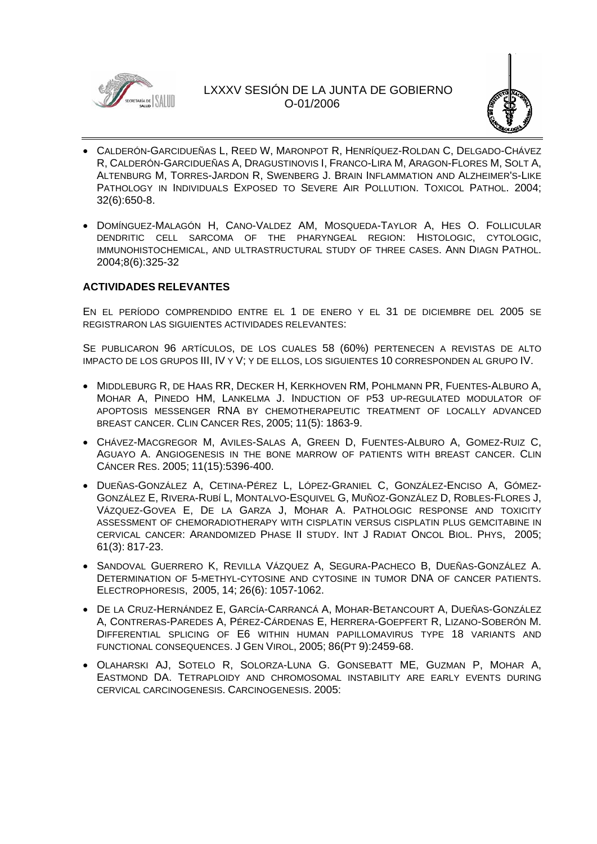



- CALDERÓN-GARCIDUEÑAS L, REED W, MARONPOT R, HENRÍQUEZ-ROLDAN C, DELGADO-CHÁVEZ R, CALDERÓN-GARCIDUEÑAS A, DRAGUSTINOVIS I, FRANCO-LIRA M, ARAGON-FLORES M, SOLT A, ALTENBURG M, TORRES-JARDON R, SWENBERG J. BRAIN INFLAMMATION AND ALZHEIMER'S-LIKE PATHOLOGY IN INDIVIDUALS EXPOSED TO SEVERE AIR POLLUTION. TOXICOL PATHOL. 2004; 32(6):650-8.
- DOMÍNGUEZ-MALAGÓN H, CANO-VALDEZ AM, MOSQUEDA-TAYLOR A, HES O. FOLLICULAR DENDRITIC CELL SARCOMA OF THE PHARYNGEAL REGION: HISTOLOGIC, CYTOLOGIC, IMMUNOHISTOCHEMICAL, AND ULTRASTRUCTURAL STUDY OF THREE CASES. ANN DIAGN PATHOL. 2004;8(6):325-32

### **ACTIVIDADES RELEVANTES**

EN EL PERÍODO COMPRENDIDO ENTRE EL 1 DE ENERO Y EL 31 DE DICIEMBRE DEL 2005 SE REGISTRARON LAS SIGUIENTES ACTIVIDADES RELEVANTES:

SE PUBLICARON 96 ARTÍCULOS, DE LOS CUALES 58 (60%) PERTENECEN A REVISTAS DE ALTO IMPACTO DE LOS GRUPOS III, IV Y V; Y DE ELLOS, LOS SIGUIENTES 10 CORRESPONDEN AL GRUPO IV.

- MIDDLEBURG R, DE HAAS RR, DECKER H, KERKHOVEN RM, POHLMANN PR, FUENTES-ALBURO A, MOHAR A, PINEDO HM, LANKELMA J. INDUCTION OF P53 UP-REGULATED MODULATOR OF APOPTOSIS MESSENGER RNA BY CHEMOTHERAPEUTIC TREATMENT OF LOCALLY ADVANCED BREAST CANCER. CLIN CANCER RES, 2005; 11(5): 1863-9.
- CHÁVEZ-MACGREGOR M, AVILES-SALAS A, GREEN D, FUENTES-ALBURO A, GOMEZ-RUIZ C, AGUAYO A. ANGIOGENESIS IN THE BONE MARROW OF PATIENTS WITH BREAST CANCER. CLIN CÁNCER RES. 2005; 11(15):5396-400.
- DUEÑAS-GONZÁLEZ A, CETINA-PÉREZ L, LÓPEZ-GRANIEL C, GONZÁLEZ-ENCISO A, GÓMEZ-GONZÁLEZ E, RIVERA-RUBÍ L, MONTALVO-ESQUIVEL G, MUÑOZ-GONZÁLEZ D, ROBLES-FLORES J, VÁZQUEZ-GOVEA E, DE LA GARZA J, MOHAR A. PATHOLOGIC RESPONSE AND TOXICITY ASSESSMENT OF CHEMORADIOTHERAPY WITH CISPLATIN VERSUS CISPLATIN PLUS GEMCITABINE IN CERVICAL CANCER: ARANDOMIZED PHASE II STUDY. INT J RADIAT ONCOL BIOL. PHYS, 2005; 61(3): 817-23.
- SANDOVAL GUERRERO K, REVILLA VÁZQUEZ A, SEGURA-PACHECO B, DUEÑAS-GONZÁLEZ A. DETERMINATION OF 5-METHYL-CYTOSINE AND CYTOSINE IN TUMOR DNA OF CANCER PATIENTS. ELECTROPHORESIS, 2005, 14; 26(6): 1057-1062.
- DE LA CRUZ-HERNÁNDEZ E, GARCÍA-CARRANCÁ A, MOHAR-BETANCOURT A, DUEÑAS-GONZÁLEZ A, CONTRERAS-PAREDES A, PÉREZ-CÁRDENAS E, HERRERA-GOEPFERT R, LIZANO-SOBERÓN M. DIFFERENTIAL SPLICING OF E6 WITHIN HUMAN PAPILLOMAVIRUS TYPE 18 VARIANTS AND FUNCTIONAL CONSEQUENCES. J GEN VIROL, 2005; 86(PT 9):2459-68.
- OLAHARSKI AJ, SOTELO R, SOLORZA-LUNA G. GONSEBATT ME, GUZMAN P, MOHAR A, EASTMOND DA. TETRAPLOIDY AND CHROMOSOMAL INSTABILITY ARE EARLY EVENTS DURING CERVICAL CARCINOGENESIS. CARCINOGENESIS. 2005: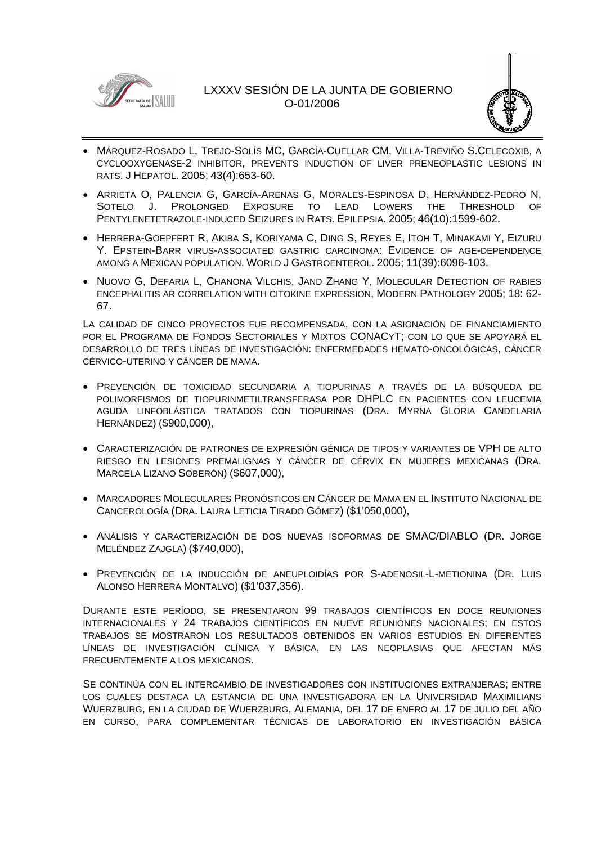



- MÁRQUEZ-ROSADO L, TREJO-SOLÍS MC, GARCÍA-CUELLAR CM, VILLA-TREVIÑO S.CELECOXIB, A CYCLOOXYGENASE-2 INHIBITOR, PREVENTS INDUCTION OF LIVER PRENEOPLASTIC LESIONS IN RATS. J HEPATOL. 2005; 43(4):653-60.
- ARRIETA O, PALENCIA G, GARCÍA-ARENAS G, MORALES-ESPINOSA D, HERNÁNDEZ-PEDRO N, SOTELO J. PROLONGED EXPOSURE TO LEAD LOWERS THE THRESHOLD OF PENTYLENETETRAZOLE-INDUCED SEIZURES IN RATS. EPILEPSIA. 2005; 46(10):1599-602.
- HERRERA-GOEPFERT R, AKIBA S, KORIYAMA C, DING S, REYES E, ITOH T, MINAKAMI Y, EIZURU Y. EPSTEIN-BARR VIRUS-ASSOCIATED GASTRIC CARCINOMA: EVIDENCE OF AGE-DEPENDENCE AMONG A MEXICAN POPULATION. WORLD J GASTROENTEROL. 2005; 11(39):6096-103.
- NUOVO G, DEFARIA L, CHANONA VILCHIS, JAND ZHANG Y, MOLECULAR DETECTION OF RABIES ENCEPHALITIS AR CORRELATION WITH CITOKINE EXPRESSION, MODERN PATHOLOGY 2005; 18: 62- 67.

LA CALIDAD DE CINCO PROYECTOS FUE RECOMPENSADA, CON LA ASIGNACIÓN DE FINANCIAMIENTO POR EL PROGRAMA DE FONDOS SECTORIALES Y MIXTOS CONACYT; CON LO QUE SE APOYARÁ EL DESARROLLO DE TRES LÍNEAS DE INVESTIGACIÓN: ENFERMEDADES HEMATO-ONCOLÓGICAS, CÁNCER CÉRVICO-UTERINO Y CÁNCER DE MAMA.

- PREVENCIÓN DE TOXICIDAD SECUNDARIA A TIOPURINAS A TRAVÉS DE LA BÚSQUEDA DE POLIMORFISMOS DE TIOPURINMETILTRANSFERASA POR DHPLC EN PACIENTES CON LEUCEMIA AGUDA LINFOBLÁSTICA TRATADOS CON TIOPURINAS (DRA. MYRNA GLORIA CANDELARIA HERNÁNDEZ) (\$900,000),
- CARACTERIZACIÓN DE PATRONES DE EXPRESIÓN GÉNICA DE TIPOS Y VARIANTES DE VPH DE ALTO RIESGO EN LESIONES PREMALIGNAS Y CÁNCER DE CÉRVIX EN MUJERES MEXICANAS (DRA. MARCELA LIZANO SOBERÓN) (\$607,000),
- MARCADORES MOLECULARES PRONÓSTICOS EN CÁNCER DE MAMA EN EL INSTITUTO NACIONAL DE CANCEROLOGÍA (DRA. LAURA LETICIA TIRADO GÓMEZ) (\$1'050,000),
- ANÁLISIS Y CARACTERIZACIÓN DE DOS NUEVAS ISOFORMAS DE SMAC/DIABLO (DR. JORGE MELÉNDEZ ZAJGLA) (\$740,000),
- PREVENCIÓN DE LA INDUCCIÓN DE ANEUPLOIDÍAS POR S-ADENOSIL-L-METIONINA (DR. LUIS ALONSO HERRERA MONTALVO) (\$1'037,356).

DURANTE ESTE PERÍODO, SE PRESENTARON 99 TRABAJOS CIENTÍFICOS EN DOCE REUNIONES INTERNACIONALES Y 24 TRABAJOS CIENTÍFICOS EN NUEVE REUNIONES NACIONALES; EN ESTOS TRABAJOS SE MOSTRARON LOS RESULTADOS OBTENIDOS EN VARIOS ESTUDIOS EN DIFERENTES LÍNEAS DE INVESTIGACIÓN CLÍNICA Y BÁSICA, EN LAS NEOPLASIAS QUE AFECTAN MÁS FRECUENTEMENTE A LOS MEXICANOS.

SE CONTINÚA CON EL INTERCAMBIO DE INVESTIGADORES CON INSTITUCIONES EXTRANJERAS; ENTRE LOS CUALES DESTACA LA ESTANCIA DE UNA INVESTIGADORA EN LA UNIVERSIDAD MAXIMILIANS WUERZBURG, EN LA CIUDAD DE WUERZBURG, ALEMANIA, DEL 17 DE ENERO AL 17 DE JULIO DEL AÑO EN CURSO, PARA COMPLEMENTAR TÉCNICAS DE LABORATORIO EN INVESTIGACIÓN BÁSICA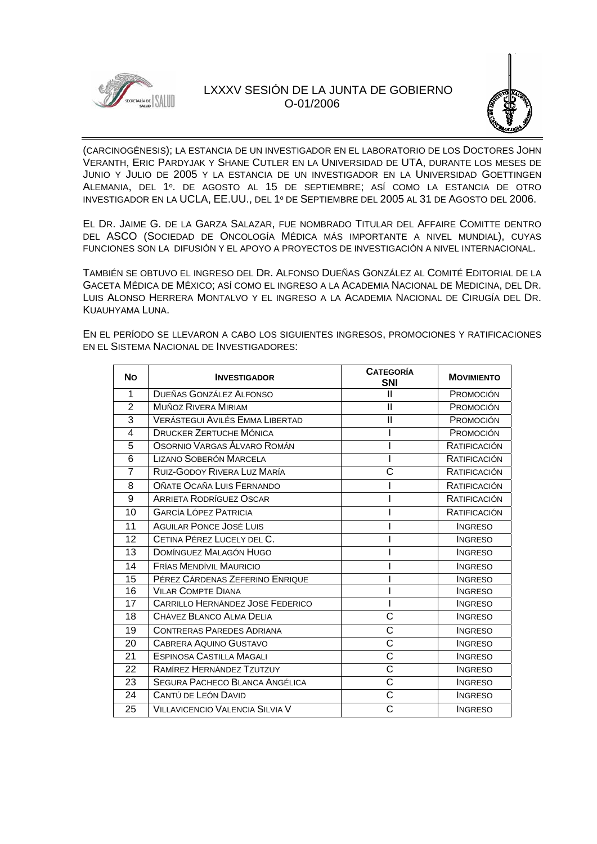



(CARCINOGÉNESIS); LA ESTANCIA DE UN INVESTIGADOR EN EL LABORATORIO DE LOS DOCTORES JOHN VERANTH, ERIC PARDYJAK Y SHANE CUTLER EN LA UNIVERSIDAD DE UTA, DURANTE LOS MESES DE JUNIO Y JULIO DE 2005 Y LA ESTANCIA DE UN INVESTIGADOR EN LA UNIVERSIDAD GOETTINGEN ALEMANIA, DEL 1º. DE AGOSTO AL 15 DE SEPTIEMBRE; ASÍ COMO LA ESTANCIA DE OTRO INVESTIGADOR EN LA UCLA, EE.UU., DEL 1º DE SEPTIEMBRE DEL 2005 AL 31 DE AGOSTO DEL 2006.

EL DR. JAIME G. DE LA GARZA SALAZAR, FUE NOMBRADO TITULAR DEL AFFAIRE COMITTE DENTRO DEL ASCO (SOCIEDAD DE ONCOLOGÍA MÉDICA MÁS IMPORTANTE A NIVEL MUNDIAL), CUYAS FUNCIONES SON LA DIFUSIÓN Y EL APOYO A PROYECTOS DE INVESTIGACIÓN A NIVEL INTERNACIONAL.

TAMBIÉN SE OBTUVO EL INGRESO DEL DR. ALFONSO DUEÑAS GONZÁLEZ AL COMITÉ EDITORIAL DE LA GACETA MÉDICA DE MÉXICO; ASÍ COMO EL INGRESO A LA ACADEMIA NACIONAL DE MEDICINA, DEL DR. LUIS ALONSO HERRERA MONTALVO Y EL INGRESO A LA ACADEMIA NACIONAL DE CIRUGÍA DEL DR. KUAUHYAMA LUNA.

EN EL PERÍODO SE LLEVARON A CABO LOS SIGUIENTES INGRESOS, PROMOCIONES Y RATIFICACIONES EN EL SISTEMA NACIONAL DE INVESTIGADORES:

| <b>No</b>      | <b>INVESTIGADOR</b>                     | <b>CATEGORÍA</b><br><b>SNI</b> | <b>MOVIMIENTO</b> |
|----------------|-----------------------------------------|--------------------------------|-------------------|
| $\mathbf 1$    | DUEÑAS GONZÁLEZ ALFONSO                 | Ш                              | PROMOCIÓN         |
| $\overline{2}$ | <b>MUÑOZ RIVERA MIRIAM</b>              | $\mathsf{I}$                   | PROMOCIÓN         |
| 3              | <b>VERÁSTEGUI AVILÉS EMMA LIBERTAD</b>  | $\mathsf{I}$                   | PROMOCIÓN         |
| 4              | <b>DRUCKER ZERTUCHE MÓNICA</b>          |                                | PROMOCIÓN         |
| 5              | OSORNIO VARGAS ÁLVARO ROMÁN             |                                | RATIFICACIÓN      |
| 6              | <b>LIZANO SOBERÓN MARCELA</b>           |                                | RATIFICACIÓN      |
| 7              | RUIZ-GODOY RIVERA LUZ MARÍA             | С                              | RATIFICACIÓN      |
| 8              | OÑATE OCAÑA LUIS FERNANDO               |                                | RATIFICACIÓN      |
| 9              | ARRIETA RODRÍGUEZ OSCAR                 |                                | RATIFICACIÓN      |
| 10             | <b>GARCÍA LÓPEZ PATRICIA</b>            |                                | RATIFICACIÓN      |
| 11             | <b>AGUILAR PONCE JOSÉ LUIS</b>          |                                | <b>INGRESO</b>    |
| 12             | CETINA PÉREZ LUCELY DEL C.              |                                | <b>INGRESO</b>    |
| 13             | DOMÍNGUEZ MALAGÓN HUGO                  |                                | <b>INGRESO</b>    |
| 14             | <b>FRÍAS MENDÍVIL MAURICIO</b>          |                                | <b>INGRESO</b>    |
| 15             | PÉREZ CÁRDENAS ZEFERINO ENRIQUE         |                                | <b>INGRESO</b>    |
| 16             | <b>VILAR COMPTE DIANA</b>               |                                | <b>INGRESO</b>    |
| 17             | <b>CARRILLO HERNÁNDEZ JOSÉ FEDERICO</b> |                                | <b>INGRESO</b>    |
| 18             | CHÁVEZ BLANCO ALMA DELIA                | Ċ                              | <b>INGRESO</b>    |
| 19             | <b>CONTRERAS PAREDES ADRIANA</b>        | С                              | <b>INGRESO</b>    |
| 20             | CABRERA AQUINO GUSTAVO                  | $\overline{\text{c}}$          | <b>INGRESO</b>    |
| 21             | <b>ESPINOSA CASTILLA MAGALI</b>         | Ċ                              | <b>INGRESO</b>    |
| 22             | RAMÍREZ HERNÁNDEZ TZUTZUY               | C                              | <b>INGRESO</b>    |
| 23             | SEGURA PACHECO BLANCA ANGÉLICA          | Ċ                              | <b>INGRESO</b>    |
| 24             | CANTÚ DE LEÓN DAVID                     | C                              | <b>INGRESO</b>    |
| 25             | VILLAVICENCIO VALENCIA SILVIA V         | C                              | <b>INGRESO</b>    |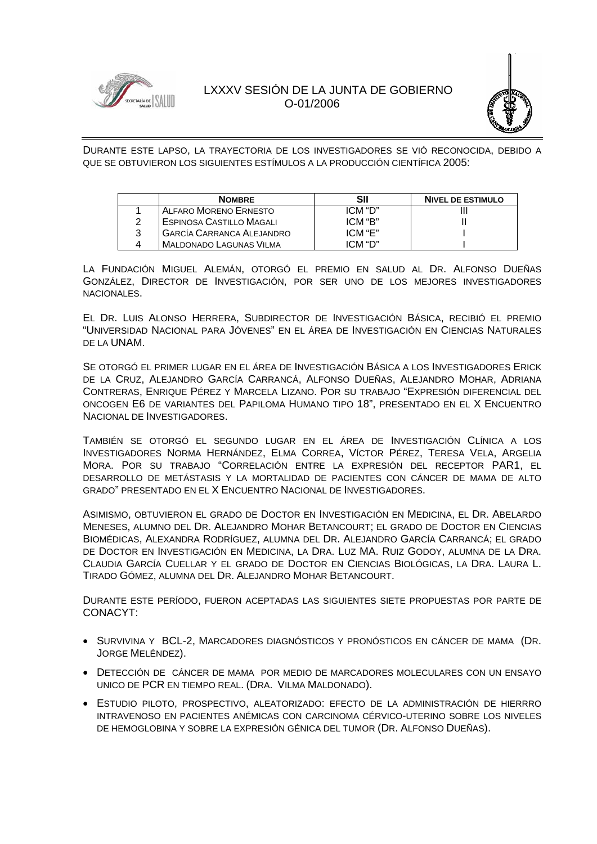



DURANTE ESTE LAPSO, LA TRAYECTORIA DE LOS INVESTIGADORES SE VIÓ RECONOCIDA, DEBIDO A QUE SE OBTUVIERON LOS SIGUIENTES ESTÍMULOS A LA PRODUCCIÓN CIENTÍFICA 2005:

| <b>NOMBRE</b>                    | SII     | <b>NIVEL DE ESTIMULO</b> |
|----------------------------------|---------|--------------------------|
| ALFARO MORENO ERNESTO            | ICM "D" |                          |
| ESPINOSA CASTILLO MAGALI         | ICM "B" |                          |
| <b>GARCÍA CARRANCA ALEJANDRO</b> | ICM "F" |                          |
| <b>MALDONADO LAGUNAS VILMA</b>   | ICM "D" |                          |

LA FUNDACIÓN MIGUEL ALEMÁN, OTORGÓ EL PREMIO EN SALUD AL DR. ALFONSO DUEÑAS GONZÁLEZ, DIRECTOR DE INVESTIGACIÓN, POR SER UNO DE LOS MEJORES INVESTIGADORES NACIONALES.

EL DR. LUIS ALONSO HERRERA, SUBDIRECTOR DE INVESTIGACIÓN BÁSICA, RECIBIÓ EL PREMIO "UNIVERSIDAD NACIONAL PARA JÓVENES" EN EL ÁREA DE INVESTIGACIÓN EN CIENCIAS NATURALES DE LA UNAM.

SE OTORGÓ EL PRIMER LUGAR EN EL ÁREA DE INVESTIGACIÓN BÁSICA A LOS INVESTIGADORES ERICK DE LA CRUZ, ALEJANDRO GARCÍA CARRANCÁ, ALFONSO DUEÑAS, ALEJANDRO MOHAR, ADRIANA CONTRERAS, ENRIQUE PÉREZ Y MARCELA LIZANO. POR SU TRABAJO "EXPRESIÓN DIFERENCIAL DEL ONCOGEN E6 DE VARIANTES DEL PAPILOMA HUMANO TIPO 18", PRESENTADO EN EL X ENCUENTRO NACIONAL DE INVESTIGADORES.

TAMBIÉN SE OTORGÓ EL SEGUNDO LUGAR EN EL ÁREA DE INVESTIGACIÓN CLÍNICA A LOS INVESTIGADORES NORMA HERNÁNDEZ, ELMA CORREA, VÍCTOR PÉREZ, TERESA VELA, ARGELIA MORA. POR SU TRABAJO "CORRELACIÓN ENTRE LA EXPRESIÓN DEL RECEPTOR PAR1, EL DESARROLLO DE METÁSTASIS Y LA MORTALIDAD DE PACIENTES CON CÁNCER DE MAMA DE ALTO GRADO" PRESENTADO EN EL X ENCUENTRO NACIONAL DE INVESTIGADORES.

ASIMISMO, OBTUVIERON EL GRADO DE DOCTOR EN INVESTIGACIÓN EN MEDICINA, EL DR. ABELARDO MENESES, ALUMNO DEL DR. ALEJANDRO MOHAR BETANCOURT; EL GRADO DE DOCTOR EN CIENCIAS BIOMÉDICAS, ALEXANDRA RODRÍGUEZ, ALUMNA DEL DR. ALEJANDRO GARCÍA CARRANCÁ; EL GRADO DE DOCTOR EN INVESTIGACIÓN EN MEDICINA, LA DRA. LUZ MA. RUIZ GODOY, ALUMNA DE LA DRA. CLAUDIA GARCÍA CUELLAR Y EL GRADO DE DOCTOR EN CIENCIAS BIOLÓGICAS, LA DRA. LAURA L. TIRADO GÓMEZ, ALUMNA DEL DR. ALEJANDRO MOHAR BETANCOURT.

DURANTE ESTE PERÍODO, FUERON ACEPTADAS LAS SIGUIENTES SIETE PROPUESTAS POR PARTE DE CONACYT:

- SURVIVINA Y BCL-2, MARCADORES DIAGNÓSTICOS Y PRONÓSTICOS EN CÁNCER DE MAMA (DR. JORGE MELÉNDEZ).
- DETECCIÓN DE CÁNCER DE MAMA POR MEDIO DE MARCADORES MOLECULARES CON UN ENSAYO UNICO DE PCR EN TIEMPO REAL. (DRA. VILMA MALDONADO).
- ESTUDIO PILOTO, PROSPECTIVO, ALEATORIZADO: EFECTO DE LA ADMINISTRACIÓN DE HIERRRO INTRAVENOSO EN PACIENTES ANÉMICAS CON CARCINOMA CÉRVICO-UTERINO SOBRE LOS NIVELES DE HEMOGLOBINA Y SOBRE LA EXPRESIÓN GÉNICA DEL TUMOR (DR. ALFONSO DUEÑAS).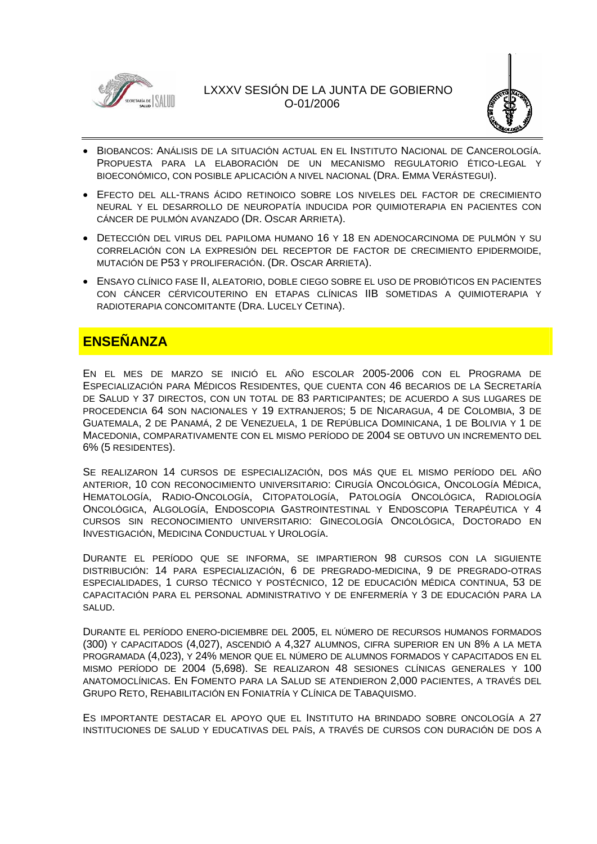



- BIOBANCOS: ANÁLISIS DE LA SITUACIÓN ACTUAL EN EL INSTITUTO NACIONAL DE CANCEROLOGÍA. PROPUESTA PARA LA ELABORACIÓN DE UN MECANISMO REGULATORIO ÉTICO-LEGAL Y BIOECONÓMICO, CON POSIBLE APLICACIÓN A NIVEL NACIONAL (DRA. EMMA VERÁSTEGUI).
- EFECTO DEL ALL-TRANS ÁCIDO RETINOICO SOBRE LOS NIVELES DEL FACTOR DE CRECIMIENTO NEURAL Y EL DESARROLLO DE NEUROPATÍA INDUCIDA POR QUIMIOTERAPIA EN PACIENTES CON CÁNCER DE PULMÓN AVANZADO (DR. OSCAR ARRIETA).
- DETECCIÓN DEL VIRUS DEL PAPILOMA HUMANO 16 Y 18 EN ADENOCARCINOMA DE PULMÓN Y SU CORRELACIÓN CON LA EXPRESIÓN DEL RECEPTOR DE FACTOR DE CRECIMIENTO EPIDERMOIDE, MUTACIÓN DE P53 Y PROLIFERACIÓN. (DR. OSCAR ARRIETA).
- ENSAYO CLÍNICO FASE II, ALEATORIO, DOBLE CIEGO SOBRE EL USO DE PROBIÓTICOS EN PACIENTES CON CÁNCER CÉRVICOUTERINO EN ETAPAS CLÍNICAS IIB SOMETIDAS A QUIMIOTERAPIA Y RADIOTERAPIA CONCOMITANTE (DRA. LUCELY CETINA).

# **ENSEÑANZA**

EN EL MES DE MARZO SE INICIÓ EL AÑO ESCOLAR 2005-2006 CON EL PROGRAMA DE ESPECIALIZACIÓN PARA MÉDICOS RESIDENTES, QUE CUENTA CON 46 BECARIOS DE LA SECRETARÍA DE SALUD Y 37 DIRECTOS, CON UN TOTAL DE 83 PARTICIPANTES; DE ACUERDO A SUS LUGARES DE PROCEDENCIA 64 SON NACIONALES Y 19 EXTRANJEROS; 5 DE NICARAGUA, 4 DE COLOMBIA, 3 DE GUATEMALA, 2 DE PANAMÁ, 2 DE VENEZUELA, 1 DE REPÚBLICA DOMINICANA, 1 DE BOLIVIA Y 1 DE MACEDONIA, COMPARATIVAMENTE CON EL MISMO PERÍODO DE 2004 SE OBTUVO UN INCREMENTO DEL 6% (5 RESIDENTES).

SE REALIZARON 14 CURSOS DE ESPECIALIZACIÓN, DOS MÁS QUE EL MISMO PERÍODO DEL AÑO ANTERIOR, 10 CON RECONOCIMIENTO UNIVERSITARIO: CIRUGÍA ONCOLÓGICA, ONCOLOGÍA MÉDICA, HEMATOLOGÍA, RADIO-ONCOLOGÍA, CITOPATOLOGÍA, PATOLOGÍA ONCOLÓGICA, RADIOLOGÍA ONCOLÓGICA, ALGOLOGÍA, ENDOSCOPIA GASTROINTESTINAL Y ENDOSCOPIA TERAPÉUTICA Y 4 CURSOS SIN RECONOCIMIENTO UNIVERSITARIO: GINECOLOGÍA ONCOLÓGICA, DOCTORADO EN INVESTIGACIÓN, MEDICINA CONDUCTUAL Y UROLOGÍA.

DURANTE EL PERÍODO QUE SE INFORMA, SE IMPARTIERON 98 CURSOS CON LA SIGUIENTE DISTRIBUCIÓN: 14 PARA ESPECIALIZACIÓN, 6 DE PREGRADO-MEDICINA, 9 DE PREGRADO-OTRAS ESPECIALIDADES, 1 CURSO TÉCNICO Y POSTÉCNICO, 12 DE EDUCACIÓN MÉDICA CONTINUA, 53 DE CAPACITACIÓN PARA EL PERSONAL ADMINISTRATIVO Y DE ENFERMERÍA Y 3 DE EDUCACIÓN PARA LA SALUD.

DURANTE EL PERÍODO ENERO-DICIEMBRE DEL 2005, EL NÚMERO DE RECURSOS HUMANOS FORMADOS (300) Y CAPACITADOS (4,027), ASCENDIÓ A 4,327 ALUMNOS, CIFRA SUPERIOR EN UN 8% A LA META PROGRAMADA (4,023), Y 24% MENOR QUE EL NÚMERO DE ALUMNOS FORMADOS Y CAPACITADOS EN EL MISMO PERÍODO DE 2004 (5,698). SE REALIZARON 48 SESIONES CLÍNICAS GENERALES Y 100 ANATOMOCLÍNICAS. EN FOMENTO PARA LA SALUD SE ATENDIERON 2,000 PACIENTES, A TRAVÉS DEL GRUPO RETO, REHABILITACIÓN EN FONIATRÍA Y CLÍNICA DE TABAQUISMO.

ES IMPORTANTE DESTACAR EL APOYO QUE EL INSTITUTO HA BRINDADO SOBRE ONCOLOGÍA A 27 INSTITUCIONES DE SALUD Y EDUCATIVAS DEL PAÍS, A TRAVÉS DE CURSOS CON DURACIÓN DE DOS A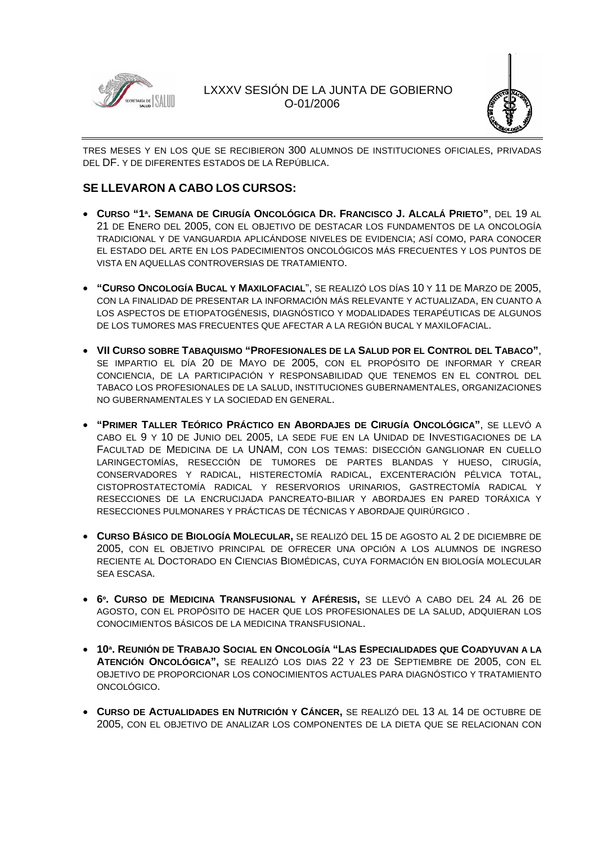



TRES MESES Y EN LOS QUE SE RECIBIERON 300 ALUMNOS DE INSTITUCIONES OFICIALES, PRIVADAS DEL DF. Y DE DIFERENTES ESTADOS DE LA REPÚBLICA.

## **SE LLEVARON A CABO LOS CURSOS:**

- **CURSO "1ª. SEMANA DE CIRUGÍA ONCOLÓGICA DR. FRANCISCO J. ALCALÁ PRIETO"**, DEL 19 AL 21 DE ENERO DEL 2005, CON EL OBJETIVO DE DESTACAR LOS FUNDAMENTOS DE LA ONCOLOGÍA TRADICIONAL Y DE VANGUARDIA APLICÁNDOSE NIVELES DE EVIDENCIA; ASÍ COMO, PARA CONOCER EL ESTADO DEL ARTE EN LOS PADECIMIENTOS ONCOLÓGICOS MÁS FRECUENTES Y LOS PUNTOS DE VISTA EN AQUELLAS CONTROVERSIAS DE TRATAMIENTO.
- **"CURSO ONCOLOGÍA BUCAL Y MAXILOFACIAL**", SE REALIZÓ LOS DÍAS 10 Y 11 DE MARZO DE 2005, CON LA FINALIDAD DE PRESENTAR LA INFORMACIÓN MÁS RELEVANTE Y ACTUALIZADA, EN CUANTO A LOS ASPECTOS DE ETIOPATOGÉNESIS, DIAGNÓSTICO Y MODALIDADES TERAPÉUTICAS DE ALGUNOS DE LOS TUMORES MAS FRECUENTES QUE AFECTAR A LA REGIÓN BUCAL Y MAXILOFACIAL.
- **VII CURSO SOBRE TABAQUISMO "PROFESIONALES DE LA SALUD POR EL CONTROL DEL TABACO"**, SE IMPARTIO EL DÍA 20 DE MAYO DE 2005, CON EL PROPÓSITO DE INFORMAR Y CREAR CONCIENCIA, DE LA PARTICIPACIÓN Y RESPONSABILIDAD QUE TENEMOS EN EL CONTROL DEL TABACO LOS PROFESIONALES DE LA SALUD, INSTITUCIONES GUBERNAMENTALES, ORGANIZACIONES NO GUBERNAMENTALES Y LA SOCIEDAD EN GENERAL.
- **"PRIMER TALLER TEÓRICO PRÁCTICO EN ABORDAJES DE CIRUGÍA ONCOLÓGICA"**, SE LLEVÓ A CABO EL 9 Y 10 DE JUNIO DEL 2005, LA SEDE FUE EN LA UNIDAD DE INVESTIGACIONES DE LA FACULTAD DE MEDICINA DE LA UNAM, CON LOS TEMAS: DISECCIÓN GANGLIONAR EN CUELLO LARINGECTOMÍAS, RESECCIÓN DE TUMORES DE PARTES BLANDAS Y HUESO, CIRUGÍA, CONSERVADORES Y RADICAL, HISTERECTOMÍA RADICAL, EXCENTERACIÓN PÉLVICA TOTAL, CISTOPROSTATECTOMÍA RADICAL Y RESERVORIOS URINARIOS, GASTRECTOMÍA RADICAL Y RESECCIONES DE LA ENCRUCIJADA PANCREATO-BILIAR Y ABORDAJES EN PARED TORÁXICA Y RESECCIONES PULMONARES Y PRÁCTICAS DE TÉCNICAS Y ABORDAJE QUIRÚRGICO .
- **CURSO BÁSICO DE BIOLOGÍA MOLECULAR,** SE REALIZÓ DEL 15 DE AGOSTO AL 2 DE DICIEMBRE DE 2005, CON EL OBJETIVO PRINCIPAL DE OFRECER UNA OPCIÓN A LOS ALUMNOS DE INGRESO RECIENTE AL DOCTORADO EN CIENCIAS BIOMÉDICAS, CUYA FORMACIÓN EN BIOLOGÍA MOLECULAR SEA ESCASA.
- **6º. CURSO DE MEDICINA TRANSFUSIONAL Y AFÉRESIS,** SE LLEVÓ A CABO DEL 24 AL 26 DE AGOSTO, CON EL PROPÓSITO DE HACER QUE LOS PROFESIONALES DE LA SALUD, ADQUIERAN LOS CONOCIMIENTOS BÁSICOS DE LA MEDICINA TRANSFUSIONAL.
- **10ª. REUNIÓN DE TRABAJO SOCIAL EN ONCOLOGÍA "LAS ESPECIALIDADES QUE COADYUVAN A LA ATENCIÓN ONCOLÓGICA",** SE REALIZÓ LOS DIAS 22 Y 23 DE SEPTIEMBRE DE 2005, CON EL OBJETIVO DE PROPORCIONAR LOS CONOCIMIENTOS ACTUALES PARA DIAGNÓSTICO Y TRATAMIENTO ONCOLÓGICO.
- **CURSO DE ACTUALIDADES EN NUTRICIÓN Y CÁNCER,** SE REALIZÓ DEL 13 AL 14 DE OCTUBRE DE 2005, CON EL OBJETIVO DE ANALIZAR LOS COMPONENTES DE LA DIETA QUE SE RELACIONAN CON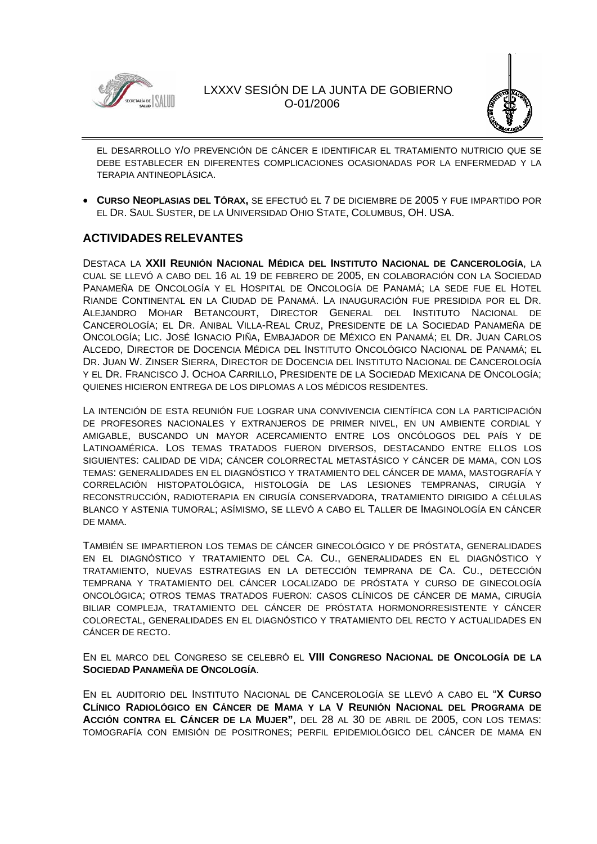



EL DESARROLLO Y/O PREVENCIÓN DE CÁNCER E IDENTIFICAR EL TRATAMIENTO NUTRICIO QUE SE DEBE ESTABLECER EN DIFERENTES COMPLICACIONES OCASIONADAS POR LA ENFERMEDAD Y LA TERAPIA ANTINEOPLÁSICA.

• **CURSO NEOPLASIAS DEL TÓRAX,** SE EFECTUÓ EL 7 DE DICIEMBRE DE 2005 Y FUE IMPARTIDO POR EL DR. SAUL SUSTER, DE LA UNIVERSIDAD OHIO STATE, COLUMBUS, OH. USA.

### **ACTIVIDADES RELEVANTES**

DESTACA LA **XXII REUNIÓN NACIONAL MÉDICA DEL INSTITUTO NACIONAL DE CANCEROLOGÍA**, LA CUAL SE LLEVÓ A CABO DEL 16 AL 19 DE FEBRERO DE 2005, EN COLABORACIÓN CON LA SOCIEDAD PANAMEÑA DE ONCOLOGÍA Y EL HOSPITAL DE ONCOLOGÍA DE PANAMÁ; LA SEDE FUE EL HOTEL RIANDE CONTINENTAL EN LA CIUDAD DE PANAMÁ. LA INAUGURACIÓN FUE PRESIDIDA POR EL DR. ALEJANDRO MOHAR BETANCOURT, DIRECTOR GENERAL DEL INSTITUTO NACIONAL DE CANCEROLOGÍA; EL DR. ANIBAL VILLA-REAL CRUZ, PRESIDENTE DE LA SOCIEDAD PANAMEÑA DE ONCOLOGÍA; LIC. JOSÉ IGNACIO PIÑA, EMBAJADOR DE MÉXICO EN PANAMÁ; EL DR. JUAN CARLOS ALCEDO, DIRECTOR DE DOCENCIA MÉDICA DEL INSTITUTO ONCOLÓGICO NACIONAL DE PANAMÁ; EL DR. JUAN W. ZINSER SIERRA, DIRECTOR DE DOCENCIA DEL INSTITUTO NACIONAL DE CANCEROLOGÍA Y EL DR. FRANCISCO J. OCHOA CARRILLO, PRESIDENTE DE LA SOCIEDAD MEXICANA DE ONCOLOGÍA; QUIENES HICIERON ENTREGA DE LOS DIPLOMAS A LOS MÉDICOS RESIDENTES.

LA INTENCIÓN DE ESTA REUNIÓN FUE LOGRAR UNA CONVIVENCIA CIENTÍFICA CON LA PARTICIPACIÓN DE PROFESORES NACIONALES Y EXTRANJEROS DE PRIMER NIVEL, EN UN AMBIENTE CORDIAL Y AMIGABLE, BUSCANDO UN MAYOR ACERCAMIENTO ENTRE LOS ONCÓLOGOS DEL PAÍS Y DE LATINOAMÉRICA. LOS TEMAS TRATADOS FUERON DIVERSOS, DESTACANDO ENTRE ELLOS LOS SIGUIENTES: CALIDAD DE VIDA; CÁNCER COLORRECTAL METASTÁSICO Y CÁNCER DE MAMA, CON LOS TEMAS: GENERALIDADES EN EL DIAGNÓSTICO Y TRATAMIENTO DEL CÁNCER DE MAMA, MASTOGRAFÍA Y CORRELACIÓN HISTOPATOLÓGICA, HISTOLOGÍA DE LAS LESIONES TEMPRANAS, CIRUGÍA Y RECONSTRUCCIÓN, RADIOTERAPIA EN CIRUGÍA CONSERVADORA, TRATAMIENTO DIRIGIDO A CÉLULAS BLANCO Y ASTENIA TUMORAL; ASÍMISMO, SE LLEVÓ A CABO EL TALLER DE IMAGINOLOGÍA EN CÁNCER DE MAMA.

TAMBIÉN SE IMPARTIERON LOS TEMAS DE CÁNCER GINECOLÓGICO Y DE PRÓSTATA, GENERALIDADES EN EL DIAGNÓSTICO Y TRATAMIENTO DEL CA. CU., GENERALIDADES EN EL DIAGNÓSTICO Y TRATAMIENTO, NUEVAS ESTRATEGIAS EN LA DETECCIÓN TEMPRANA DE CA. CU., DETECCIÓN TEMPRANA Y TRATAMIENTO DEL CÁNCER LOCALIZADO DE PRÓSTATA Y CURSO DE GINECOLOGÍA ONCOLÓGICA; OTROS TEMAS TRATADOS FUERON: CASOS CLÍNICOS DE CÁNCER DE MAMA, CIRUGÍA BILIAR COMPLEJA, TRATAMIENTO DEL CÁNCER DE PRÓSTATA HORMONORRESISTENTE Y CÁNCER COLORECTAL, GENERALIDADES EN EL DIAGNÓSTICO Y TRATAMIENTO DEL RECTO Y ACTUALIDADES EN CÁNCER DE RECTO.

EN EL MARCO DEL CONGRESO SE CELEBRÓ EL **VIII CONGRESO NACIONAL DE ONCOLOGÍA DE LA SOCIEDAD PANAMEÑA DE ONCOLOGÍA**.

EN EL AUDITORIO DEL INSTITUTO NACIONAL DE CANCEROLOGÍA SE LLEVÓ A CABO EL "**X CURSO CLÍNICO RADIOLÓGICO EN CÁNCER DE MAMA Y LA V REUNIÓN NACIONAL DEL PROGRAMA DE ACCIÓN CONTRA EL CÁNCER DE LA MUJER"**, DEL 28 AL 30 DE ABRIL DE 2005, CON LOS TEMAS: TOMOGRAFÍA CON EMISIÓN DE POSITRONES; PERFIL EPIDEMIOLÓGICO DEL CÁNCER DE MAMA EN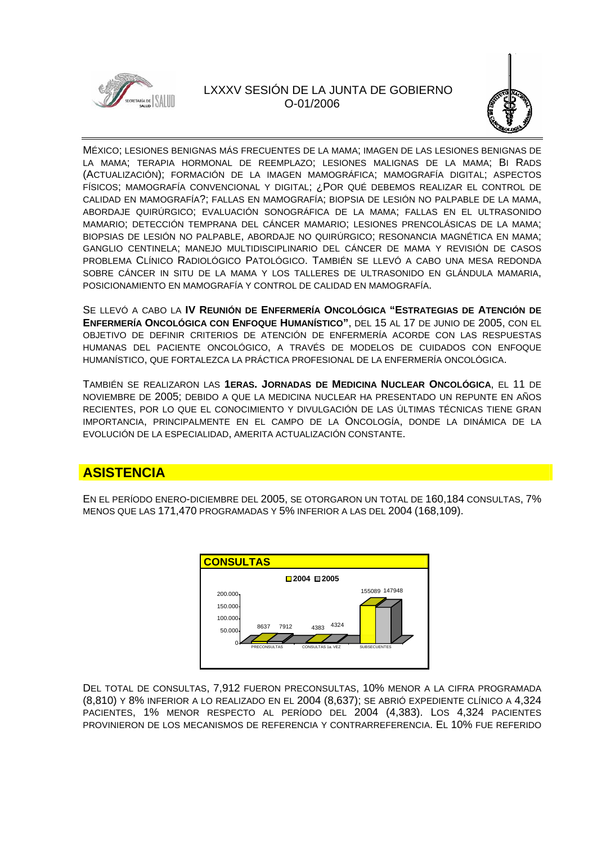



MÉXICO; LESIONES BENIGNAS MÁS FRECUENTES DE LA MAMA; IMAGEN DE LAS LESIONES BENIGNAS DE LA MAMA; TERAPIA HORMONAL DE REEMPLAZO; LESIONES MALIGNAS DE LA MAMA; BI RADS (ACTUALIZACIÓN); FORMACIÓN DE LA IMAGEN MAMOGRÁFICA; MAMOGRAFÍA DIGITAL; ASPECTOS FÍSICOS; MAMOGRAFÍA CONVENCIONAL Y DIGITAL; ¿POR QUÉ DEBEMOS REALIZAR EL CONTROL DE CALIDAD EN MAMOGRAFÍA?; FALLAS EN MAMOGRAFÍA; BIOPSIA DE LESIÓN NO PALPABLE DE LA MAMA, ABORDAJE QUIRÚRGICO; EVALUACIÓN SONOGRÁFICA DE LA MAMA; FALLAS EN EL ULTRASONIDO MAMARIO; DETECCIÓN TEMPRANA DEL CÁNCER MAMARIO; LESIONES PRENCOLÁSICAS DE LA MAMA; BIOPSIAS DE LESIÓN NO PALPABLE, ABORDAJE NO QUIRÚRGICO; RESONANCIA MAGNÉTICA EN MAMA; GANGLIO CENTINELA; MANEJO MULTIDISCIPLINARIO DEL CÁNCER DE MAMA Y REVISIÓN DE CASOS PROBLEMA CLÍNICO RADIOLÓGICO PATOLÓGICO. TAMBIÉN SE LLEVÓ A CABO UNA MESA REDONDA SOBRE CÁNCER IN SITU DE LA MAMA Y LOS TALLERES DE ULTRASONIDO EN GLÁNDULA MAMARIA, POSICIONAMIENTO EN MAMOGRAFÍA Y CONTROL DE CALIDAD EN MAMOGRAFÍA.

SE LLEVÓ A CABO LA **IV REUNIÓN DE ENFERMERÍA ONCOLÓGICA "ESTRATEGIAS DE ATENCIÓN DE ENFERMERÍA ONCOLÓGICA CON ENFOQUE HUMANÍSTICO"**, DEL 15 AL 17 DE JUNIO DE 2005, CON EL OBJETIVO DE DEFINIR CRITERIOS DE ATENCIÓN DE ENFERMERÍA ACORDE CON LAS RESPUESTAS HUMANAS DEL PACIENTE ONCOLÓGICO, A TRAVÉS DE MODELOS DE CUIDADOS CON ENFOQUE HUMANÍSTICO, QUE FORTALEZCA LA PRÁCTICA PROFESIONAL DE LA ENFERMERÍA ONCOLÓGICA.

TAMBIÉN SE REALIZARON LAS **1ERAS. JORNADAS DE MEDICINA NUCLEAR ONCOLÓGICA**, EL 11 DE NOVIEMBRE DE 2005; DEBIDO A QUE LA MEDICINA NUCLEAR HA PRESENTADO UN REPUNTE EN AÑOS RECIENTES, POR LO QUE EL CONOCIMIENTO Y DIVULGACIÓN DE LAS ÚLTIMAS TÉCNICAS TIENE GRAN IMPORTANCIA, PRINCIPALMENTE EN EL CAMPO DE LA ONCOLOGÍA, DONDE LA DINÁMICA DE LA EVOLUCIÓN DE LA ESPECIALIDAD, AMERITA ACTUALIZACIÓN CONSTANTE.

# **ASISTENCIA**

EN EL PERÍODO ENERO-DICIEMBRE DEL 2005, SE OTORGARON UN TOTAL DE 160,184 CONSULTAS, 7% MENOS QUE LAS 171,470 PROGRAMADAS Y 5% INFERIOR A LAS DEL 2004 (168,109).



DEL TOTAL DE CONSULTAS, 7,912 FUERON PRECONSULTAS, 10% MENOR A LA CIFRA PROGRAMADA (8,810) Y 8% INFERIOR A LO REALIZADO EN EL 2004 (8,637); SE ABRIÓ EXPEDIENTE CLÍNICO A 4,324 PACIENTES, 1% MENOR RESPECTO AL PERÍODO DEL 2004 (4,383). LOS 4,324 PACIENTES PROVINIERON DE LOS MECANISMOS DE REFERENCIA Y CONTRARREFERENCIA. EL 10% FUE REFERIDO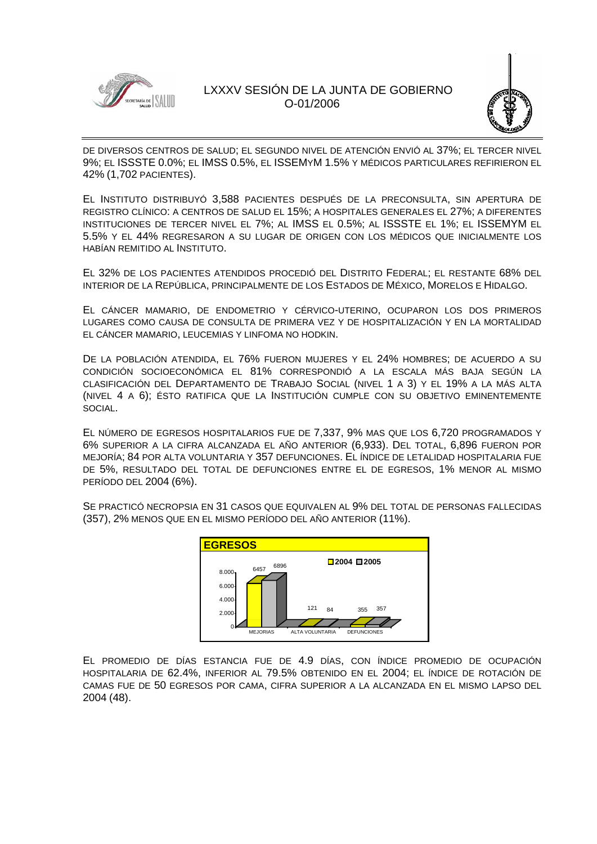



DE DIVERSOS CENTROS DE SALUD; EL SEGUNDO NIVEL DE ATENCIÓN ENVIÓ AL 37%; EL TERCER NIVEL 9%; EL ISSSTE 0.0%; EL IMSS 0.5%, EL ISSEMYM 1.5% Y MÉDICOS PARTICULARES REFIRIERON EL 42% (1,702 PACIENTES).

EL INSTITUTO DISTRIBUYÓ 3,588 PACIENTES DESPUÉS DE LA PRECONSULTA, SIN APERTURA DE REGISTRO CLÍNICO: A CENTROS DE SALUD EL 15%; A HOSPITALES GENERALES EL 27%; A DIFERENTES INSTITUCIONES DE TERCER NIVEL EL 7%; AL IMSS EL 0.5%; AL ISSSTE EL 1%; EL ISSEMYM EL 5.5% Y EL 44% REGRESARON A SU LUGAR DE ORIGEN CON LOS MÉDICOS QUE INICIALMENTE LOS HABÍAN REMITIDO AL INSTITUTO.

EL 32% DE LOS PACIENTES ATENDIDOS PROCEDIÓ DEL DISTRITO FEDERAL; EL RESTANTE 68% DEL INTERIOR DE LA REPÚBLICA, PRINCIPALMENTE DE LOS ESTADOS DE MÉXICO, MORELOS E HIDALGO.

EL CÁNCER MAMARIO, DE ENDOMETRIO Y CÉRVICO-UTERINO, OCUPARON LOS DOS PRIMEROS LUGARES COMO CAUSA DE CONSULTA DE PRIMERA VEZ Y DE HOSPITALIZACIÓN Y EN LA MORTALIDAD EL CÁNCER MAMARIO, LEUCEMIAS Y LINFOMA NO HODKIN.

DE LA POBLACIÓN ATENDIDA, EL 76% FUERON MUJERES Y EL 24% HOMBRES; DE ACUERDO A SU CONDICIÓN SOCIOECONÓMICA EL 81% CORRESPONDIÓ A LA ESCALA MÁS BAJA SEGÚN LA CLASIFICACIÓN DEL DEPARTAMENTO DE TRABAJO SOCIAL (NIVEL 1 A 3) Y EL 19% A LA MÁS ALTA (NIVEL 4 A 6); ÉSTO RATIFICA QUE LA INSTITUCIÓN CUMPLE CON SU OBJETIVO EMINENTEMENTE SOCIAL.

EL NÚMERO DE EGRESOS HOSPITALARIOS FUE DE 7,337, 9% MAS QUE LOS 6,720 PROGRAMADOS Y 6% SUPERIOR A LA CIFRA ALCANZADA EL AÑO ANTERIOR (6,933). DEL TOTAL, 6,896 FUERON POR MEJORÍA; 84 POR ALTA VOLUNTARIA Y 357 DEFUNCIONES. EL ÍNDICE DE LETALIDAD HOSPITALARIA FUE DE 5%, RESULTADO DEL TOTAL DE DEFUNCIONES ENTRE EL DE EGRESOS, 1% MENOR AL MISMO PERÍODO DEL 2004 (6%).

SE PRACTICÓ NECROPSIA EN 31 CASOS QUE EQUIVALEN AL 9% DEL TOTAL DE PERSONAS FALLECIDAS (357), 2% MENOS QUE EN EL MISMO PERÍODO DEL AÑO ANTERIOR (11%).



EL PROMEDIO DE DÍAS ESTANCIA FUE DE 4.9 DÍAS, CON ÍNDICE PROMEDIO DE OCUPACIÓN HOSPITALARIA DE 62.4%, INFERIOR AL 79.5% OBTENIDO EN EL 2004; EL ÍNDICE DE ROTACIÓN DE CAMAS FUE DE 50 EGRESOS POR CAMA, CIFRA SUPERIOR A LA ALCANZADA EN EL MISMO LAPSO DEL 2004 (48).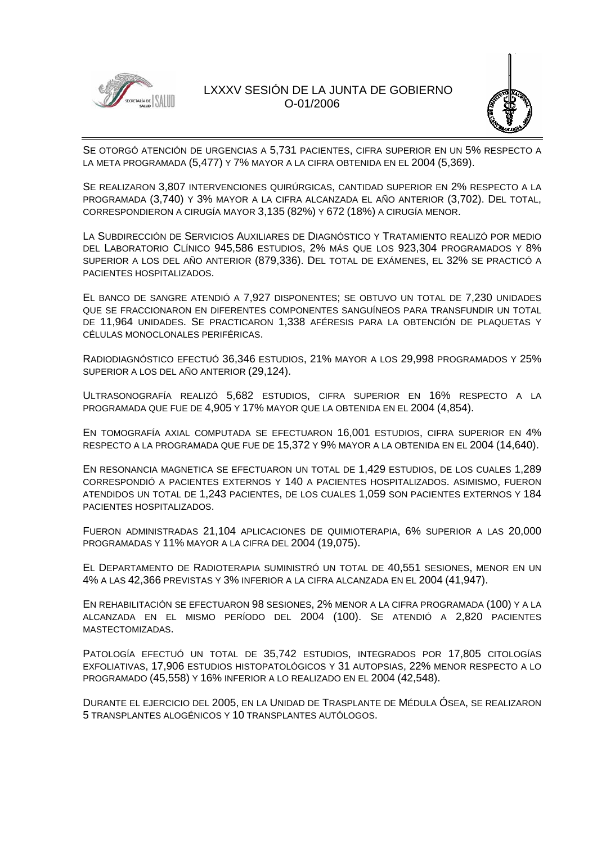



SE OTORGÓ ATENCIÓN DE URGENCIAS A 5,731 PACIENTES, CIFRA SUPERIOR EN UN 5% RESPECTO A LA META PROGRAMADA (5,477) Y 7% MAYOR A LA CIFRA OBTENIDA EN EL 2004 (5,369).

SE REALIZARON 3,807 INTERVENCIONES QUIRÚRGICAS, CANTIDAD SUPERIOR EN 2% RESPECTO A LA PROGRAMADA (3,740) Y 3% MAYOR A LA CIFRA ALCANZADA EL AÑO ANTERIOR (3,702). DEL TOTAL, CORRESPONDIERON A CIRUGÍA MAYOR 3,135 (82%) Y 672 (18%) A CIRUGÍA MENOR.

LA SUBDIRECCIÓN DE SERVICIOS AUXILIARES DE DIAGNÓSTICO Y TRATAMIENTO REALIZÓ POR MEDIO DEL LABORATORIO CLÍNICO 945,586 ESTUDIOS, 2% MÁS QUE LOS 923,304 PROGRAMADOS Y 8% SUPERIOR A LOS DEL AÑO ANTERIOR (879,336). DEL TOTAL DE EXÁMENES, EL 32% SE PRACTICÓ A PACIENTES HOSPITALIZADOS.

EL BANCO DE SANGRE ATENDIÓ A 7,927 DISPONENTES; SE OBTUVO UN TOTAL DE 7,230 UNIDADES QUE SE FRACCIONARON EN DIFERENTES COMPONENTES SANGUÍNEOS PARA TRANSFUNDIR UN TOTAL DE 11,964 UNIDADES. SE PRACTICARON 1,338 AFÉRESIS PARA LA OBTENCIÓN DE PLAQUETAS Y CÉLULAS MONOCLONALES PERIFÉRICAS.

RADIODIAGNÓSTICO EFECTUÓ 36,346 ESTUDIOS, 21% MAYOR A LOS 29,998 PROGRAMADOS Y 25% SUPERIOR A LOS DEL AÑO ANTERIOR (29,124).

ULTRASONOGRAFÍA REALIZÓ 5,682 ESTUDIOS, CIFRA SUPERIOR EN 16% RESPECTO A LA PROGRAMADA QUE FUE DE 4,905 Y 17% MAYOR QUE LA OBTENIDA EN EL 2004 (4,854).

EN TOMOGRAFÍA AXIAL COMPUTADA SE EFECTUARON 16,001 ESTUDIOS, CIFRA SUPERIOR EN 4% RESPECTO A LA PROGRAMADA QUE FUE DE 15,372 Y 9% MAYOR A LA OBTENIDA EN EL 2004 (14,640).

EN RESONANCIA MAGNETICA SE EFECTUARON UN TOTAL DE 1,429 ESTUDIOS, DE LOS CUALES 1,289 CORRESPONDIÓ A PACIENTES EXTERNOS Y 140 A PACIENTES HOSPITALIZADOS. ASIMISMO, FUERON ATENDIDOS UN TOTAL DE 1,243 PACIENTES, DE LOS CUALES 1,059 SON PACIENTES EXTERNOS Y 184 PACIENTES HOSPITALIZADOS.

FUERON ADMINISTRADAS 21,104 APLICACIONES DE QUIMIOTERAPIA, 6% SUPERIOR A LAS 20,000 PROGRAMADAS Y 11% MAYOR A LA CIFRA DEL 2004 (19,075).

EL DEPARTAMENTO DE RADIOTERAPIA SUMINISTRÓ UN TOTAL DE 40,551 SESIONES, MENOR EN UN 4% A LAS 42,366 PREVISTAS Y 3% INFERIOR A LA CIFRA ALCANZADA EN EL 2004 (41,947).

EN REHABILITACIÓN SE EFECTUARON 98 SESIONES, 2% MENOR A LA CIFRA PROGRAMADA (100) Y A LA ALCANZADA EN EL MISMO PERÍODO DEL 2004 (100). SE ATENDIÓ A 2,820 PACIENTES MASTECTOMIZADAS.

PATOLOGÍA EFECTUÓ UN TOTAL DE 35,742 ESTUDIOS, INTEGRADOS POR 17,805 CITOLOGÍAS EXFOLIATIVAS, 17,906 ESTUDIOS HISTOPATOLÓGICOS Y 31 AUTOPSIAS, 22% MENOR RESPECTO A LO PROGRAMADO (45,558) Y 16% INFERIOR A LO REALIZADO EN EL 2004 (42,548).

DURANTE EL EJERCICIO DEL 2005, EN LA UNIDAD DE TRASPLANTE DE MÉDULA ÓSEA, SE REALIZARON 5 TRANSPLANTES ALOGÉNICOS Y 10 TRANSPLANTES AUTÓLOGOS.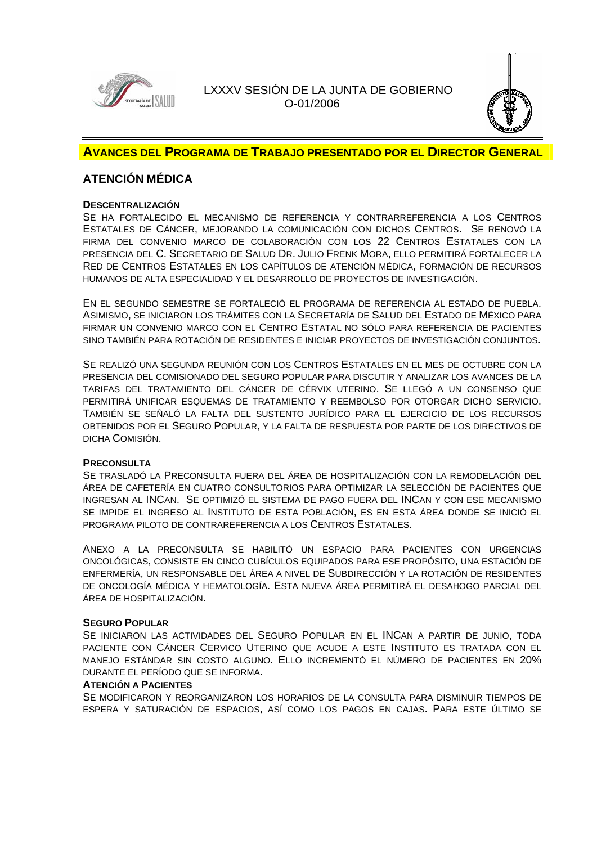



### **AVANCES DEL PROGRAMA DE TRABAJO PRESENTADO POR EL DIRECTOR GENERAL**

## **ATENCIÓN MÉDICA**

### **DESCENTRALIZACIÓN**

SE HA FORTALECIDO EL MECANISMO DE REFERENCIA Y CONTRARREFERENCIA A LOS CENTROS ESTATALES DE CÁNCER, MEJORANDO LA COMUNICACIÓN CON DICHOS CENTROS. SE RENOVÓ LA FIRMA DEL CONVENIO MARCO DE COLABORACIÓN CON LOS 22 CENTROS ESTATALES CON LA PRESENCIA DEL C. SECRETARIO DE SALUD DR. JULIO FRENK MORA, ELLO PERMITIRÁ FORTALECER LA RED DE CENTROS ESTATALES EN LOS CAPÍTULOS DE ATENCIÓN MÉDICA, FORMACIÓN DE RECURSOS HUMANOS DE ALTA ESPECIALIDAD Y EL DESARROLLO DE PROYECTOS DE INVESTIGACIÓN.

EN EL SEGUNDO SEMESTRE SE FORTALECIÓ EL PROGRAMA DE REFERENCIA AL ESTADO DE PUEBLA. ASIMISMO, SE INICIARON LOS TRÁMITES CON LA SECRETARÍA DE SALUD DEL ESTADO DE MÉXICO PARA FIRMAR UN CONVENIO MARCO CON EL CENTRO ESTATAL NO SÓLO PARA REFERENCIA DE PACIENTES SINO TAMBIÉN PARA ROTACIÓN DE RESIDENTES E INICIAR PROYECTOS DE INVESTIGACIÓN CONJUNTOS.

SE REALIZÓ UNA SEGUNDA REUNIÓN CON LOS CENTROS ESTATALES EN EL MES DE OCTUBRE CON LA PRESENCIA DEL COMISIONADO DEL SEGURO POPULAR PARA DISCUTIR Y ANALIZAR LOS AVANCES DE LA TARIFAS DEL TRATAMIENTO DEL CÁNCER DE CÉRVIX UTERINO. SE LLEGÓ A UN CONSENSO QUE PERMITIRÁ UNIFICAR ESQUEMAS DE TRATAMIENTO Y REEMBOLSO POR OTORGAR DICHO SERVICIO. TAMBIÉN SE SEÑALÓ LA FALTA DEL SUSTENTO JURÍDICO PARA EL EJERCICIO DE LOS RECURSOS OBTENIDOS POR EL SEGURO POPULAR, Y LA FALTA DE RESPUESTA POR PARTE DE LOS DIRECTIVOS DE DICHA COMISIÓN.

### **PRECONSULTA**

SE TRASLADÓ LA PRECONSULTA FUERA DEL ÁREA DE HOSPITALIZACIÓN CON LA REMODELACIÓN DEL ÁREA DE CAFETERÍA EN CUATRO CONSULTORIOS PARA OPTIMIZAR LA SELECCIÓN DE PACIENTES QUE INGRESAN AL INCAN. SE OPTIMIZÓ EL SISTEMA DE PAGO FUERA DEL INCAN Y CON ESE MECANISMO SE IMPIDE EL INGRESO AL INSTITUTO DE ESTA POBLACIÓN, ES EN ESTA ÁREA DONDE SE INICIÓ EL PROGRAMA PILOTO DE CONTRAREFERENCIA A LOS CENTROS ESTATALES.

ANEXO A LA PRECONSULTA SE HABILITÓ UN ESPACIO PARA PACIENTES CON URGENCIAS ONCOLÓGICAS, CONSISTE EN CINCO CUBÍCULOS EQUIPADOS PARA ESE PROPÓSITO, UNA ESTACIÓN DE ENFERMERÍA, UN RESPONSABLE DEL ÁREA A NIVEL DE SUBDIRECCIÓN Y LA ROTACIÓN DE RESIDENTES DE ONCOLOGÍA MÉDICA Y HEMATOLOGÍA. ESTA NUEVA ÁREA PERMITIRÁ EL DESAHOGO PARCIAL DEL ÁREA DE HOSPITALIZACIÓN.

### **SEGURO POPULAR**

SE INICIARON LAS ACTIVIDADES DEL SEGURO POPULAR EN EL INCAN A PARTIR DE JUNIO, TODA PACIENTE CON CÁNCER CERVICO UTERINO QUE ACUDE A ESTE INSTITUTO ES TRATADA CON EL MANEJO ESTÁNDAR SIN COSTO ALGUNO. ELLO INCREMENTÓ EL NÚMERO DE PACIENTES EN 20% DURANTE EL PERÍODO QUE SE INFORMA.

### **ATENCIÓN A PACIENTES**

SE MODIFICARON Y REORGANIZARON LOS HORARIOS DE LA CONSULTA PARA DISMINUIR TIEMPOS DE ESPERA Y SATURACIÓN DE ESPACIOS, ASÍ COMO LOS PAGOS EN CAJAS. PARA ESTE ÚLTIMO SE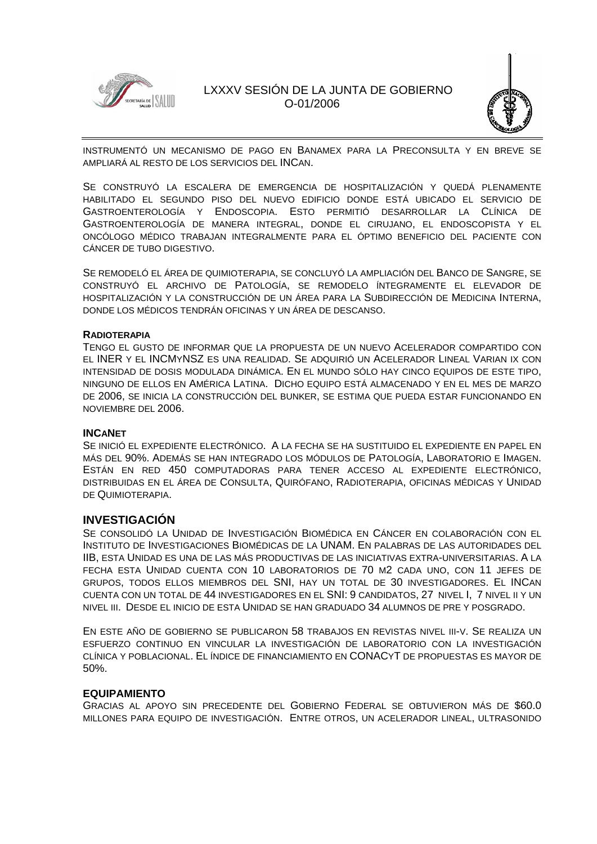



INSTRUMENTÓ UN MECANISMO DE PAGO EN BANAMEX PARA LA PRECONSULTA Y EN BREVE SE AMPLIARÁ AL RESTO DE LOS SERVICIOS DEL INCAN.

SE CONSTRUYÓ LA ESCALERA DE EMERGENCIA DE HOSPITALIZACIÓN Y QUEDÁ PLENAMENTE HABILITADO EL SEGUNDO PISO DEL NUEVO EDIFICIO DONDE ESTÁ UBICADO EL SERVICIO DE GASTROENTEROLOGÍA Y ENDOSCOPIA. ESTO PERMITIÓ DESARROLLAR LA CLÍNICA DE GASTROENTEROLOGÍA DE MANERA INTEGRAL, DONDE EL CIRUJANO, EL ENDOSCOPISTA Y EL ONCÓLOGO MÉDICO TRABAJAN INTEGRALMENTE PARA EL ÓPTIMO BENEFICIO DEL PACIENTE CON CÁNCER DE TUBO DIGESTIVO.

SE REMODELÓ EL ÁREA DE QUIMIOTERAPIA, SE CONCLUYÓ LA AMPLIACIÓN DEL BANCO DE SANGRE, SE CONSTRUYÓ EL ARCHIVO DE PATOLOGÍA, SE REMODELO ÍNTEGRAMENTE EL ELEVADOR DE HOSPITALIZACIÓN Y LA CONSTRUCCIÓN DE UN ÁREA PARA LA SUBDIRECCIÓN DE MEDICINA INTERNA, DONDE LOS MÉDICOS TENDRÁN OFICINAS Y UN ÁREA DE DESCANSO.

### **RADIOTERAPIA**

TENGO EL GUSTO DE INFORMAR QUE LA PROPUESTA DE UN NUEVO ACELERADOR COMPARTIDO CON EL INER Y EL INCMYNSZ ES UNA REALIDAD. SE ADQUIRIÓ UN ACELERADOR LINEAL VARIAN IX CON INTENSIDAD DE DOSIS MODULADA DINÁMICA. EN EL MUNDO SÓLO HAY CINCO EQUIPOS DE ESTE TIPO, NINGUNO DE ELLOS EN AMÉRICA LATINA. DICHO EQUIPO ESTÁ ALMACENADO Y EN EL MES DE MARZO DE 2006, SE INICIA LA CONSTRUCCIÓN DEL BUNKER, SE ESTIMA QUE PUEDA ESTAR FUNCIONANDO EN NOVIEMBRE DEL 2006.

### **INCANET**

SE INICIÓ EL EXPEDIENTE ELECTRÓNICO. A LA FECHA SE HA SUSTITUIDO EL EXPEDIENTE EN PAPEL EN MÁS DEL 90%. ADEMÁS SE HAN INTEGRADO LOS MÓDULOS DE PATOLOGÍA, LABORATORIO E IMAGEN. ESTÁN EN RED 450 COMPUTADORAS PARA TENER ACCESO AL EXPEDIENTE ELECTRÓNICO, DISTRIBUIDAS EN EL ÁREA DE CONSULTA, QUIRÓFANO, RADIOTERAPIA, OFICINAS MÉDICAS Y UNIDAD DE QUIMIOTERAPIA.

### **INVESTIGACIÓN**

SE CONSOLIDÓ LA UNIDAD DE INVESTIGACIÓN BIOMÉDICA EN CÁNCER EN COLABORACIÓN CON EL INSTITUTO DE INVESTIGACIONES BIOMÉDICAS DE LA UNAM. EN PALABRAS DE LAS AUTORIDADES DEL IIB, ESTA UNIDAD ES UNA DE LAS MÁS PRODUCTIVAS DE LAS INICIATIVAS EXTRA-UNIVERSITARIAS. A LA FECHA ESTA UNIDAD CUENTA CON 10 LABORATORIOS DE 70 M2 CADA UNO, CON 11 JEFES DE GRUPOS, TODOS ELLOS MIEMBROS DEL SNI, HAY UN TOTAL DE 30 INVESTIGADORES. EL INCAN CUENTA CON UN TOTAL DE 44 INVESTIGADORES EN EL SNI: 9 CANDIDATOS, 27 NIVEL I, 7 NIVEL II Y UN NIVEL III. DESDE EL INICIO DE ESTA UNIDAD SE HAN GRADUADO 34 ALUMNOS DE PRE Y POSGRADO.

EN ESTE AÑO DE GOBIERNO SE PUBLICARON 58 TRABAJOS EN REVISTAS NIVEL III-V. SE REALIZA UN ESFUERZO CONTINUO EN VINCULAR LA INVESTIGACIÓN DE LABORATORIO CON LA INVESTIGACIÓN CLÍNICA Y POBLACIONAL. EL ÍNDICE DE FINANCIAMIENTO EN CONACYT DE PROPUESTAS ES MAYOR DE 50%.

### **EQUIPAMIENTO**

GRACIAS AL APOYO SIN PRECEDENTE DEL GOBIERNO FEDERAL SE OBTUVIERON MÁS DE \$60.0 MILLONES PARA EQUIPO DE INVESTIGACIÓN. ENTRE OTROS, UN ACELERADOR LINEAL, ULTRASONIDO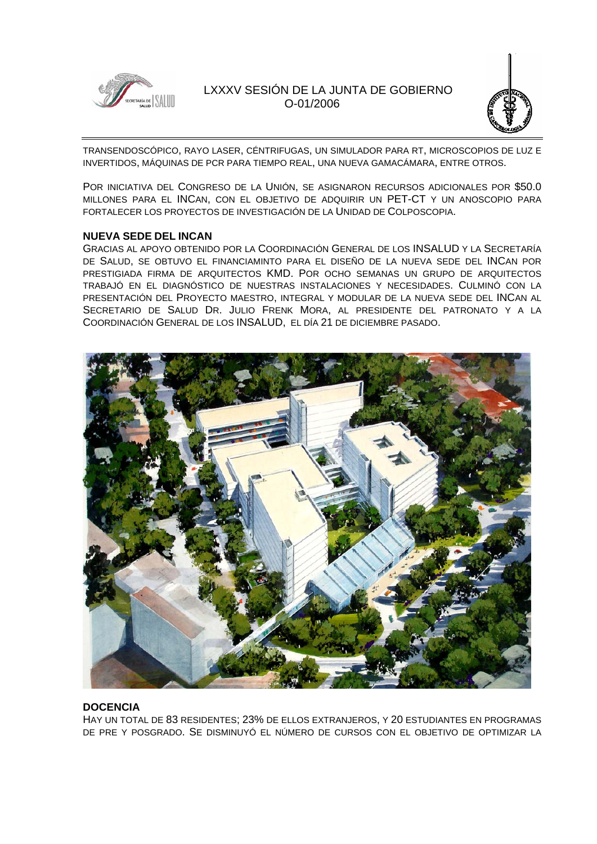



TRANSENDOSCÓPICO, RAYO LASER, CÉNTRIFUGAS, UN SIMULADOR PARA RT, MICROSCOPIOS DE LUZ E INVERTIDOS, MÁQUINAS DE PCR PARA TIEMPO REAL, UNA NUEVA GAMACÁMARA, ENTRE OTROS.

POR INICIATIVA DEL CONGRESO DE LA UNIÓN, SE ASIGNARON RECURSOS ADICIONALES POR \$50.0 MILLONES PARA EL INCAN, CON EL OBJETIVO DE ADQUIRIR UN PET-CT Y UN ANOSCOPIO PARA FORTALECER LOS PROYECTOS DE INVESTIGACIÓN DE LA UNIDAD DE COLPOSCOPIA.

### **NUEVA SEDE DEL INCAN**

GRACIAS AL APOYO OBTENIDO POR LA COORDINACIÓN GENERAL DE LOS INSALUD Y LA SECRETARÍA DE SALUD, SE OBTUVO EL FINANCIAMINTO PARA EL DISEÑO DE LA NUEVA SEDE DEL INCAN POR PRESTIGIADA FIRMA DE ARQUITECTOS KMD. POR OCHO SEMANAS UN GRUPO DE ARQUITECTOS TRABAJÓ EN EL DIAGNÓSTICO DE NUESTRAS INSTALACIONES Y NECESIDADES. CULMINÓ CON LA PRESENTACIÓN DEL PROYECTO MAESTRO, INTEGRAL Y MODULAR DE LA NUEVA SEDE DEL INCAN AL SECRETARIO DE SALUD DR. JULIO FRENK MORA, AL PRESIDENTE DEL PATRONATO Y A LA COORDINACIÓN GENERAL DE LOS INSALUD, EL DÍA 21 DE DICIEMBRE PASADO.



### **DOCENCIA**

HAY UN TOTAL DE 83 RESIDENTES; 23% DE ELLOS EXTRANJEROS, Y 20 ESTUDIANTES EN PROGRAMAS DE PRE Y POSGRADO. SE DISMINUYÓ EL NÚMERO DE CURSOS CON EL OBJETIVO DE OPTIMIZAR LA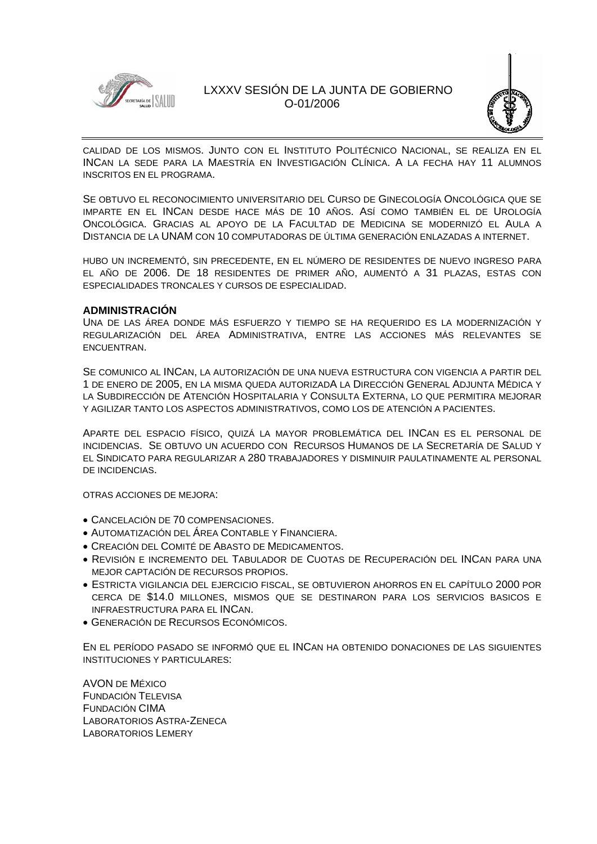



CALIDAD DE LOS MISMOS. JUNTO CON EL INSTITUTO POLITÉCNICO NACIONAL, SE REALIZA EN EL INCAN LA SEDE PARA LA MAESTRÍA EN INVESTIGACIÓN CLÍNICA. A LA FECHA HAY 11 ALUMNOS INSCRITOS EN EL PROGRAMA.

SE OBTUVO EL RECONOCIMIENTO UNIVERSITARIO DEL CURSO DE GINECOLOGÍA ONCOLÓGICA QUE SE IMPARTE EN EL INCAN DESDE HACE MÁS DE 10 AÑOS. ASÍ COMO TAMBIÉN EL DE UROLOGÍA ONCOLÓGICA. GRACIAS AL APOYO DE LA FACULTAD DE MEDICINA SE MODERNIZÓ EL AULA A DISTANCIA DE LA UNAM CON 10 COMPUTADORAS DE ÚLTIMA GENERACIÓN ENLAZADAS A INTERNET.

HUBO UN INCREMENTÓ, SIN PRECEDENTE, EN EL NÚMERO DE RESIDENTES DE NUEVO INGRESO PARA EL AÑO DE 2006. DE 18 RESIDENTES DE PRIMER AÑO, AUMENTÓ A 31 PLAZAS, ESTAS CON ESPECIALIDADES TRONCALES Y CURSOS DE ESPECIALIDAD.

### **ADMINISTRACIÓN**

UNA DE LAS ÁREA DONDE MÁS ESFUERZO Y TIEMPO SE HA REQUERIDO ES LA MODERNIZACIÓN Y REGULARIZACIÓN DEL ÁREA ADMINISTRATIVA, ENTRE LAS ACCIONES MÁS RELEVANTES SE ENCUENTRAN.

SE COMUNICO AL INCAN, LA AUTORIZACIÓN DE UNA NUEVA ESTRUCTURA CON VIGENCIA A PARTIR DEL 1 DE ENERO DE 2005, EN LA MISMA QUEDA AUTORIZADA LA DIRECCIÓN GENERAL ADJUNTA MÉDICA Y LA SUBDIRECCIÓN DE ATENCIÓN HOSPITALARIA Y CONSULTA EXTERNA, LO QUE PERMITIRA MEJORAR Y AGILIZAR TANTO LOS ASPECTOS ADMINISTRATIVOS, COMO LOS DE ATENCIÓN A PACIENTES.

APARTE DEL ESPACIO FÍSICO, QUIZÁ LA MAYOR PROBLEMÁTICA DEL INCAN ES EL PERSONAL DE INCIDENCIAS. SE OBTUVO UN ACUERDO CON RECURSOS HUMANOS DE LA SECRETARÍA DE SALUD Y EL SINDICATO PARA REGULARIZAR A 280 TRABAJADORES Y DISMINUIR PAULATINAMENTE AL PERSONAL DE INCIDENCIAS.

OTRAS ACCIONES DE MEJORA:

- CANCELACIÓN DE 70 COMPENSACIONES.
- AUTOMATIZACIÓN DEL ÁREA CONTABLE Y FINANCIERA.
- CREACIÓN DEL COMITÉ DE ABASTO DE MEDICAMENTOS.
- REVISIÓN E INCREMENTO DEL TABULADOR DE CUOTAS DE RECUPERACIÓN DEL INCAN PARA UNA MEJOR CAPTACIÓN DE RECURSOS PROPIOS.
- ESTRICTA VIGILANCIA DEL EJERCICIO FISCAL, SE OBTUVIERON AHORROS EN EL CAPÍTULO 2000 POR CERCA DE \$14.0 MILLONES, MISMOS QUE SE DESTINARON PARA LOS SERVICIOS BASICOS E INFRAESTRUCTURA PARA EL INCAN.
- GENERACIÓN DE RECURSOS ECONÓMICOS.

EN EL PERÍODO PASADO SE INFORMÓ QUE EL INCAN HA OBTENIDO DONACIONES DE LAS SIGUIENTES INSTITUCIONES Y PARTICULARES:

AVON DE MÉXICO FUNDACIÓN TELEVISA FUNDACIÓN CIMA LABORATORIOS ASTRA-ZENECA LABORATORIOS LEMERY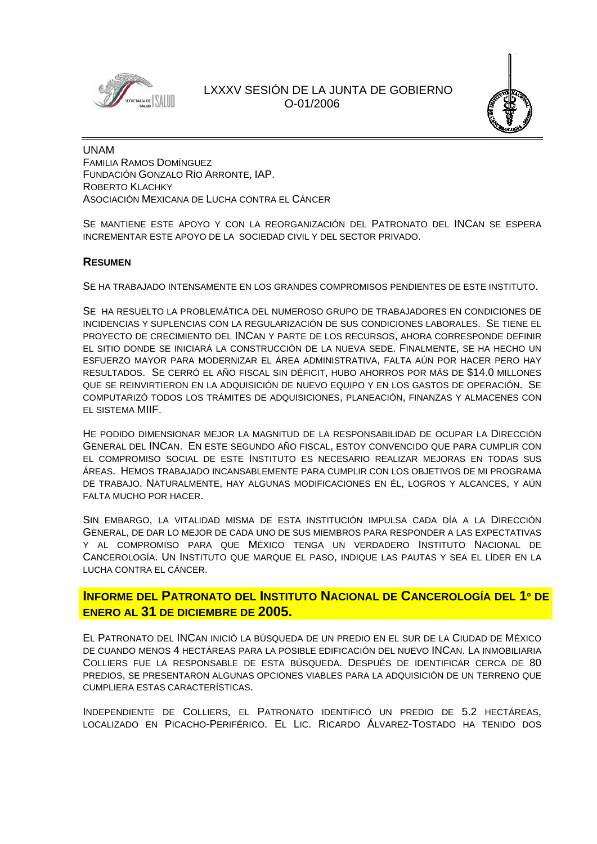



UNAM FAMILIA RAMOS DOMÍNGUEZ FUNDACIÓN GONZALO RÍO ARRONTE, IAP. ROBERTO KLACHKY ASOCIACIÓN MEXICANA DE LUCHA CONTRA EL CÁNCER

SE MANTIENE ESTE APOYO Y CON LA REORGANIZACIÓN DEL PATRONATO DEL INCAN SE ESPERA INCREMENTAR ESTE APOYO DE LA SOCIEDAD CIVIL Y DEL SECTOR PRIVADO.

### **RESUMEN**

SE HA TRABAJADO INTENSAMENTE EN LOS GRANDES COMPROMISOS PENDIENTES DE ESTE INSTITUTO.

SE HA RESUELTO LA PROBLEMÁTICA DEL NUMEROSO GRUPO DE TRABAJADORES EN CONDICIONES DE INCIDENCIAS Y SUPLENCIAS CON LA REGULARIZACIÓN DE SUS CONDICIONES LABORALES. SE TIENE EL PROYECTO DE CRECIMIENTO DEL INCAN Y PARTE DE LOS RECURSOS, AHORA CORRESPONDE DEFINIR EL SITIO DONDE SE INICIARÁ LA CONSTRUCCIÓN DE LA NUEVA SEDE. FINALMENTE, SE HA HECHO UN ESFUERZO MAYOR PARA MODERNIZAR EL ÁREA ADMINISTRATIVA, FALTA AÚN POR HACER PERO HAY RESULTADOS. SE CERRÓ EL AÑO FISCAL SIN DÉFICIT, HUBO AHORROS POR MÁS DE \$14.0 MILLONES QUE SE REINVIRTIERON EN LA ADQUISICIÓN DE NUEVO EQUIPO Y EN LOS GASTOS DE OPERACIÓN. SE COMPUTARIZÓ TODOS LOS TRÁMITES DE ADQUISICIONES, PLANEACIÓN, FINANZAS Y ALMACENES CON EL SISTEMA MIIF.

HE PODIDO DIMENSIONAR MEJOR LA MAGNITUD DE LA RESPONSABILIDAD DE OCUPAR LA DIRECCIÓN GENERAL DEL INCAN. EN ESTE SEGUNDO AÑO FISCAL, ESTOY CONVENCIDO QUE PARA CUMPLIR CON EL COMPROMISO SOCIAL DE ESTE INSTITUTO ES NECESARIO REALIZAR MEJORAS EN TODAS SUS ÁREAS. HEMOS TRABAJADO INCANSABLEMENTE PARA CUMPLIR CON LOS OBJETIVOS DE MI PROGRAMA DE TRABAJO. NATURALMENTE, HAY ALGUNAS MODIFICACIONES EN ÉL, LOGROS Y ALCANCES, Y AÚN FALTA MUCHO POR HACER.

SIN EMBARGO, LA VITALIDAD MISMA DE ESTA INSTITUCIÓN IMPULSA CADA DÍA A LA DIRECCIÓN GENERAL, DE DAR LO MEJOR DE CADA UNO DE SUS MIEMBROS PARA RESPONDER A LAS EXPECTATIVAS Y AL COMPROMISO PARA QUE MÉXICO TENGA UN VERDADERO INSTITUTO NACIONAL DE CANCEROLOGÍA. UN INSTITUTO QUE MARQUE EL PASO, INDIQUE LAS PAUTAS Y SEA EL LÍDER EN LA LUCHA CONTRA EL CÁNCER.

**INFORME DEL PATRONATO DEL INSTITUTO NACIONAL DE CANCEROLOGÍA DEL 1º DE ENERO AL 31 DE DICIEMBRE DE 2005.** 

EL PATRONATO DEL INCAN INICIÓ LA BÚSQUEDA DE UN PREDIO EN EL SUR DE LA CIUDAD DE MÉXICO DE CUANDO MENOS 4 HECTÁREAS PARA LA POSIBLE EDIFICACIÓN DEL NUEVO INCAN. LA INMOBILIARIA COLLIERS FUE LA RESPONSABLE DE ESTA BÚSQUEDA. DESPUÉS DE IDENTIFICAR CERCA DE 80 PREDIOS, SE PRESENTARON ALGUNAS OPCIONES VIABLES PARA LA ADQUISICIÓN DE UN TERRENO QUE CUMPLIERA ESTAS CARACTERÍSTICAS.

INDEPENDIENTE DE COLLIERS, EL PATRONATO IDENTIFICÓ UN PREDIO DE 5.2 HECTÁREAS, LOCALIZADO EN PICACHO-PERIFÉRICO. EL LIC. RICARDO ÁLVAREZ-TOSTADO HA TENIDO DOS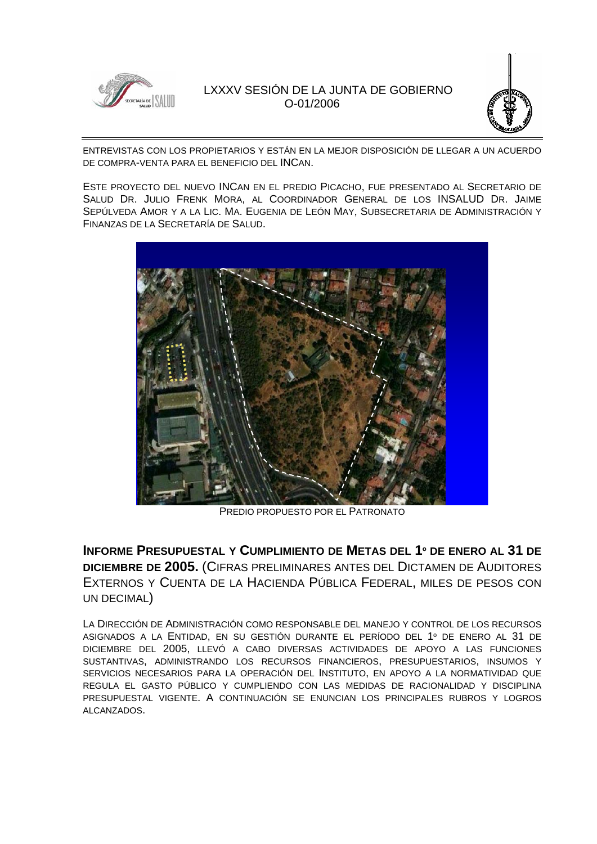



ENTREVISTAS CON LOS PROPIETARIOS Y ESTÁN EN LA MEJOR DISPOSICIÓN DE LLEGAR A UN ACUERDO DE COMPRA-VENTA PARA EL BENEFICIO DEL INCAN.

ESTE PROYECTO DEL NUEVO INCAN EN EL PREDIO PICACHO, FUE PRESENTADO AL SECRETARIO DE SALUD DR. JULIO FRENK MORA, AL COORDINADOR GENERAL DE LOS INSALUD DR. JAIME SEPÚLVEDA AMOR Y A LA LIC. MA. EUGENIA DE LEÓN MAY, SUBSECRETARIA DE ADMINISTRACIÓN Y FINANZAS DE LA SECRETARÍA DE SALUD.



PREDIO PROPUESTO POR EL PATRONATO

**INFORME PRESUPUESTAL Y CUMPLIMIENTO DE METAS DEL 1º DE ENERO AL 31 DE DICIEMBRE DE 2005.** (CIFRAS PRELIMINARES ANTES DEL DICTAMEN DE AUDITORES EXTERNOS Y CUENTA DE LA HACIENDA PÚBLICA FEDERAL, MILES DE PESOS CON UN DECIMAL)

LA DIRECCIÓN DE ADMINISTRACIÓN COMO RESPONSABLE DEL MANEJO Y CONTROL DE LOS RECURSOS ASIGNADOS A LA ENTIDAD, EN SU GESTIÓN DURANTE EL PERÍODO DEL 1º DE ENERO AL 31 DE DICIEMBRE DEL 2005, LLEVÓ A CABO DIVERSAS ACTIVIDADES DE APOYO A LAS FUNCIONES SUSTANTIVAS, ADMINISTRANDO LOS RECURSOS FINANCIEROS, PRESUPUESTARIOS, INSUMOS Y SERVICIOS NECESARIOS PARA LA OPERACIÓN DEL INSTITUTO, EN APOYO A LA NORMATIVIDAD QUE REGULA EL GASTO PÚBLICO Y CUMPLIENDO CON LAS MEDIDAS DE RACIONALIDAD Y DISCIPLINA PRESUPUESTAL VIGENTE. A CONTINUACIÓN SE ENUNCIAN LOS PRINCIPALES RUBROS Y LOGROS ALCANZADOS.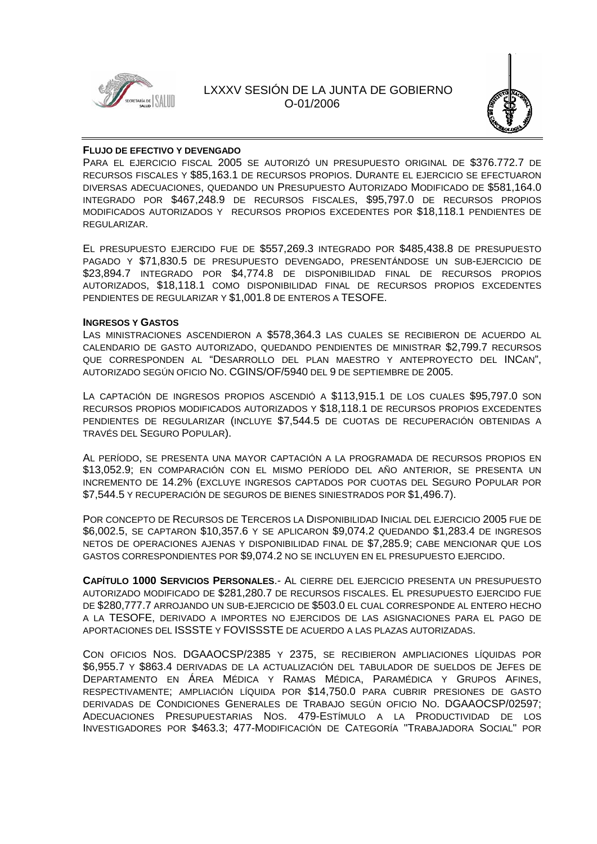



### **FLUJO DE EFECTIVO Y DEVENGADO**

PARA EL EJERCICIO FISCAL 2005 SE AUTORIZÓ UN PRESUPUESTO ORIGINAL DE \$376.772.7 DE RECURSOS FISCALES Y \$85,163.1 DE RECURSOS PROPIOS. DURANTE EL EJERCICIO SE EFECTUARON DIVERSAS ADECUACIONES, QUEDANDO UN PRESUPUESTO AUTORIZADO MODIFICADO DE \$581,164.0 INTEGRADO POR \$467,248.9 DE RECURSOS FISCALES, \$95,797.0 DE RECURSOS PROPIOS MODIFICADOS AUTORIZADOS Y RECURSOS PROPIOS EXCEDENTES POR \$18,118.1 PENDIENTES DE REGULARIZAR.

EL PRESUPUESTO EJERCIDO FUE DE \$557,269.3 INTEGRADO POR \$485,438.8 DE PRESUPUESTO PAGADO Y \$71,830.5 DE PRESUPUESTO DEVENGADO, PRESENTÁNDOSE UN SUB-EJERCICIO DE \$23,894.7 INTEGRADO POR \$4,774.8 DE DISPONIBILIDAD FINAL DE RECURSOS PROPIOS AUTORIZADOS, \$18,118.1 COMO DISPONIBILIDAD FINAL DE RECURSOS PROPIOS EXCEDENTES PENDIENTES DE REGULARIZAR Y \$1,001.8 DE ENTEROS A TESOFE.

### **INGRESOS Y GASTOS**

LAS MINISTRACIONES ASCENDIERON A \$578,364.3 LAS CUALES SE RECIBIERON DE ACUERDO AL CALENDARIO DE GASTO AUTORIZADO, QUEDANDO PENDIENTES DE MINISTRAR \$2,799.7 RECURSOS QUE CORRESPONDEN AL "DESARROLLO DEL PLAN MAESTRO Y ANTEPROYECTO DEL INCAN", AUTORIZADO SEGÚN OFICIO NO. CGINS/OF/5940 DEL 9 DE SEPTIEMBRE DE 2005.

LA CAPTACIÓN DE INGRESOS PROPIOS ASCENDIÓ A \$113,915.1 DE LOS CUALES \$95,797.0 SON RECURSOS PROPIOS MODIFICADOS AUTORIZADOS Y \$18,118.1 DE RECURSOS PROPIOS EXCEDENTES PENDIENTES DE REGULARIZAR (INCLUYE \$7,544.5 DE CUOTAS DE RECUPERACIÓN OBTENIDAS A TRAVÉS DEL SEGURO POPULAR).

AL PERÍODO, SE PRESENTA UNA MAYOR CAPTACIÓN A LA PROGRAMADA DE RECURSOS PROPIOS EN \$13,052.9; EN COMPARACIÓN CON EL MISMO PERÍODO DEL AÑO ANTERIOR, SE PRESENTA UN INCREMENTO DE 14.2% (EXCLUYE INGRESOS CAPTADOS POR CUOTAS DEL SEGURO POPULAR POR \$7,544.5 Y RECUPERACIÓN DE SEGUROS DE BIENES SINIESTRADOS POR \$1,496.7).

POR CONCEPTO DE RECURSOS DE TERCEROS LA DISPONIBILIDAD INICIAL DEL EJERCICIO 2005 FUE DE \$6,002.5, SE CAPTARON \$10,357.6 Y SE APLICARON \$9,074.2 QUEDANDO \$1,283.4 DE INGRESOS NETOS DE OPERACIONES AJENAS Y DISPONIBILIDAD FINAL DE \$7,285.9; CABE MENCIONAR QUE LOS GASTOS CORRESPONDIENTES POR \$9,074.2 NO SE INCLUYEN EN EL PRESUPUESTO EJERCIDO.

**CAPÍTULO 1000 SERVICIOS PERSONALES**.- AL CIERRE DEL EJERCICIO PRESENTA UN PRESUPUESTO AUTORIZADO MODIFICADO DE \$281,280.7 DE RECURSOS FISCALES. EL PRESUPUESTO EJERCIDO FUE DE \$280,777.7 ARROJANDO UN SUB-EJERCICIO DE \$503.0 EL CUAL CORRESPONDE AL ENTERO HECHO A LA TESOFE, DERIVADO A IMPORTES NO EJERCIDOS DE LAS ASIGNACIONES PARA EL PAGO DE APORTACIONES DEL ISSSTE Y FOVISSSTE DE ACUERDO A LAS PLAZAS AUTORIZADAS.

CON OFICIOS NOS. DGAAOCSP/2385 Y 2375, SE RECIBIERON AMPLIACIONES LÍQUIDAS POR \$6,955.7 Y \$863.4 DERIVADAS DE LA ACTUALIZACIÓN DEL TABULADOR DE SUELDOS DE JEFES DE DEPARTAMENTO EN ÁREA MÉDICA Y RAMAS MÉDICA, PARAMÉDICA Y GRUPOS AFINES, RESPECTIVAMENTE; AMPLIACIÓN LÍQUIDA POR \$14,750.0 PARA CUBRIR PRESIONES DE GASTO DERIVADAS DE CONDICIONES GENERALES DE TRABAJO SEGÚN OFICIO NO. DGAAOCSP/02597; ADECUACIONES PRESUPUESTARIAS NOS. 479-ESTÍMULO A LA PRODUCTIVIDAD DE LOS INVESTIGADORES POR \$463.3; 477-MODIFICACIÓN DE CATEGORÍA "TRABAJADORA SOCIAL" POR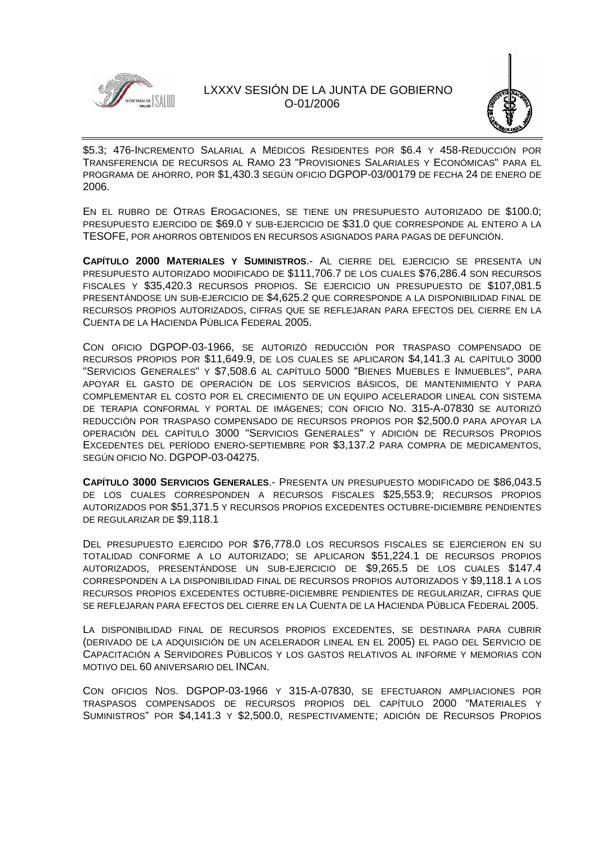



\$5.3; 476-INCREMENTO SALARIAL A MÉDICOS RESIDENTES POR \$6.4 Y 458-REDUCCIÓN POR TRANSFERENCIA DE RECURSOS AL RAMO 23 "PROVISIONES SALARIALES Y ECONÓMICAS" PARA EL PROGRAMA DE AHORRO, POR \$1,430.3 SEGÚN OFICIO DGPOP-03/00179 DE FECHA 24 DE ENERO DE 2006.

EN EL RUBRO DE OTRAS EROGACIONES, SE TIENE UN PRESUPUESTO AUTORIZADO DE \$100.0; PRESUPUESTO EJERCIDO DE \$69.0 Y SUB-EJERCICIO DE \$31.0 QUE CORRESPONDE AL ENTERO A LA TESOFE, POR AHORROS OBTENIDOS EN RECURSOS ASIGNADOS PARA PAGAS DE DEFUNCIÓN.

**CAPÍTULO 2000 MATERIALES Y SUMINISTROS**.- AL CIERRE DEL EJERCICIO SE PRESENTA UN PRESUPUESTO AUTORIZADO MODIFICADO DE \$111,706.7 DE LOS CUALES \$76,286.4 SON RECURSOS FISCALES Y \$35,420.3 RECURSOS PROPIOS. SE EJERCICIO UN PRESUPUESTO DE \$107,081.5 PRESENTÁNDOSE UN SUB-EJERCICIO DE \$4,625.2 QUE CORRESPONDE A LA DISPONIBILIDAD FINAL DE RECURSOS PROPIOS AUTORIZADOS, CIFRAS QUE SE REFLEJARAN PARA EFECTOS DEL CIERRE EN LA CUENTA DE LA HACIENDA PÚBLICA FEDERAL 2005.

CON OFICIO DGPOP-03-1966, SE AUTORIZÓ REDUCCIÓN POR TRASPASO COMPENSADO DE RECURSOS PROPIOS POR \$11,649.9, DE LOS CUALES SE APLICARON \$4,141.3 AL CAPÍTULO 3000 "SERVICIOS GENERALES" Y \$7,508.6 AL CAPÍTULO 5000 "BIENES MUEBLES E INMUEBLES", PARA APOYAR EL GASTO DE OPERACIÓN DE LOS SERVICIOS BÁSICOS, DE MANTENIMIENTO Y PARA COMPLEMENTAR EL COSTO POR EL CRECIMIENTO DE UN EQUIPO ACELERADOR LINEAL CON SISTEMA DE TERAPIA CONFORMAL Y PORTAL DE IMÁGENES; CON OFICIO NO. 315-A-07830 SE AUTORIZÓ REDUCCIÓN POR TRASPASO COMPENSADO DE RECURSOS PROPIOS POR \$2,500.0 PARA APOYAR LA OPERACIÓN DEL CAPÍTULO 3000 "SERVICIOS GENERALES" Y ADICIÓN DE RECURSOS PROPIOS EXCEDENTES DEL PERÍODO ENERO-SEPTIEMBRE POR \$3,137.2 PARA COMPRA DE MEDICAMENTOS, SEGÚN OFICIO NO. DGPOP-03-04275.

**CAPÍTULO 3000 SERVICIOS GENERALES**.- PRESENTA UN PRESUPUESTO MODIFICADO DE \$86,043.5 DE LOS CUALES CORRESPONDEN A RECURSOS FISCALES \$25,553.9; RECURSOS PROPIOS AUTORIZADOS POR \$51,371.5 Y RECURSOS PROPIOS EXCEDENTES OCTUBRE-DICIEMBRE PENDIENTES DE REGULARIZAR DE \$9,118.1

DEL PRESUPUESTO EJERCIDO POR \$76,778.0 LOS RECURSOS FISCALES SE EJERCIERON EN SU TOTALIDAD CONFORME A LO AUTORIZADO; SE APLICARON \$51,224.1 DE RECURSOS PROPIOS AUTORIZADOS, PRESENTÁNDOSE UN SUB-EJERCICIO DE \$9,265.5 DE LOS CUALES \$147.4 CORRESPONDEN A LA DISPONIBILIDAD FINAL DE RECURSOS PROPIOS AUTORIZADOS Y \$9,118.1 A LOS RECURSOS PROPIOS EXCEDENTES OCTUBRE-DICIEMBRE PENDIENTES DE REGULARIZAR, CIFRAS QUE SE REFLEJARAN PARA EFECTOS DEL CIERRE EN LA CUENTA DE LA HACIENDA PÚBLICA FEDERAL 2005.

LA DISPONIBILIDAD FINAL DE RECURSOS PROPIOS EXCEDENTES, SE DESTINARA PARA CUBRIR (DERIVADO DE LA ADQUISICIÓN DE UN ACELERADOR LINEAL EN EL 2005) EL PAGO DEL SERVICIO DE CAPACITACIÓN A SERVIDORES PÚBLICOS Y LOS GASTOS RELATIVOS AL INFORME Y MEMORIAS CON MOTIVO DEL 60 ANIVERSARIO DEL INCAN.

CON OFICIOS NOS. DGPOP-03-1966 Y 315-A-07830, SE EFECTUARON AMPLIACIONES POR TRASPASOS COMPENSADOS DE RECURSOS PROPIOS DEL CAPÍTULO 2000 "MATERIALES Y SUMINISTROS" POR \$4,141.3 Y \$2,500.0, RESPECTIVAMENTE; ADICIÓN DE RECURSOS PROPIOS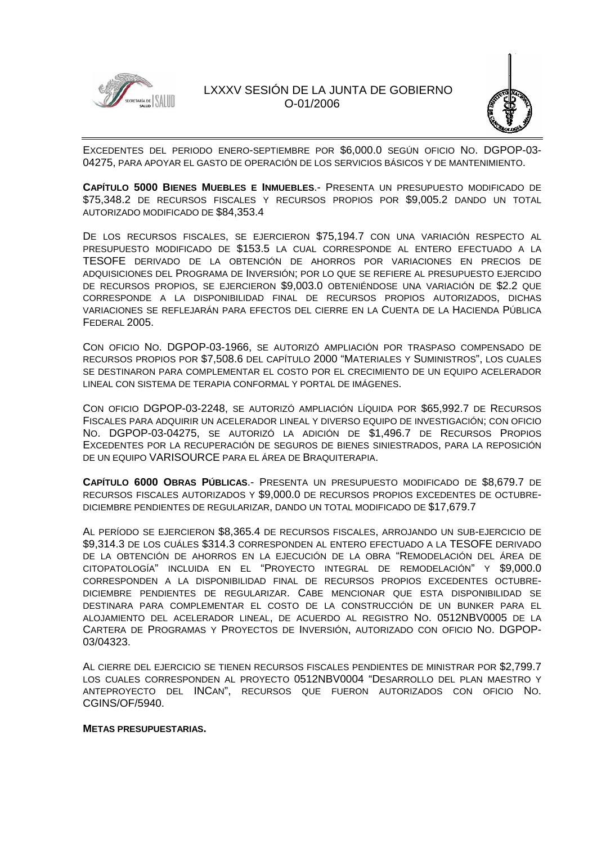



EXCEDENTES DEL PERIODO ENERO-SEPTIEMBRE POR \$6,000.0 SEGÚN OFICIO NO. DGPOP-03- 04275, PARA APOYAR EL GASTO DE OPERACIÓN DE LOS SERVICIOS BÁSICOS Y DE MANTENIMIENTO.

**CAPÍTULO 5000 BIENES MUEBLES E INMUEBLES**.- PRESENTA UN PRESUPUESTO MODIFICADO DE \$75,348.2 DE RECURSOS FISCALES Y RECURSOS PROPIOS POR \$9,005.2 DANDO UN TOTAL AUTORIZADO MODIFICADO DE \$84,353.4

DE LOS RECURSOS FISCALES, SE EJERCIERON \$75,194.7 CON UNA VARIACIÓN RESPECTO AL PRESUPUESTO MODIFICADO DE \$153.5 LA CUAL CORRESPONDE AL ENTERO EFECTUADO A LA TESOFE DERIVADO DE LA OBTENCIÓN DE AHORROS POR VARIACIONES EN PRECIOS DE ADQUISICIONES DEL PROGRAMA DE INVERSIÓN; POR LO QUE SE REFIERE AL PRESUPUESTO EJERCIDO DE RECURSOS PROPIOS, SE EJERCIERON \$9,003.0 OBTENIÉNDOSE UNA VARIACIÓN DE \$2.2 QUE CORRESPONDE A LA DISPONIBILIDAD FINAL DE RECURSOS PROPIOS AUTORIZADOS, DICHAS VARIACIONES SE REFLEJARÁN PARA EFECTOS DEL CIERRE EN LA CUENTA DE LA HACIENDA PÚBLICA FEDERAL 2005.

CON OFICIO NO. DGPOP-03-1966, SE AUTORIZÓ AMPLIACIÓN POR TRASPASO COMPENSADO DE RECURSOS PROPIOS POR \$7,508.6 DEL CAPÍTULO 2000 "MATERIALES Y SUMINISTROS", LOS CUALES SE DESTINARON PARA COMPLEMENTAR EL COSTO POR EL CRECIMIENTO DE UN EQUIPO ACELERADOR LINEAL CON SISTEMA DE TERAPIA CONFORMAL Y PORTAL DE IMÁGENES.

CON OFICIO DGPOP-03-2248, SE AUTORIZÓ AMPLIACIÓN LÍQUIDA POR \$65,992.7 DE RECURSOS FISCALES PARA ADQUIRIR UN ACELERADOR LINEAL Y DIVERSO EQUIPO DE INVESTIGACIÓN; CON OFICIO NO. DGPOP-03-04275, SE AUTORIZÓ LA ADICIÓN DE \$1,496.7 DE RECURSOS PROPIOS EXCEDENTES POR LA RECUPERACIÓN DE SEGUROS DE BIENES SINIESTRADOS, PARA LA REPOSICIÓN DE UN EQUIPO VARISOURCE PARA EL ÁREA DE BRAQUITERAPIA.

**CAPÍTULO 6000 OBRAS PÚBLICAS**.- PRESENTA UN PRESUPUESTO MODIFICADO DE \$8,679.7 DE RECURSOS FISCALES AUTORIZADOS Y \$9,000.0 DE RECURSOS PROPIOS EXCEDENTES DE OCTUBRE-DICIEMBRE PENDIENTES DE REGULARIZAR, DANDO UN TOTAL MODIFICADO DE \$17,679.7

AL PERÍODO SE EJERCIERON \$8,365.4 DE RECURSOS FISCALES, ARROJANDO UN SUB-EJERCICIO DE \$9,314.3 DE LOS CUÁLES \$314.3 CORRESPONDEN AL ENTERO EFECTUADO A LA TESOFE DERIVADO DE LA OBTENCIÓN DE AHORROS EN LA EJECUCIÓN DE LA OBRA "REMODELACIÓN DEL ÁREA DE CITOPATOLOGÍA" INCLUIDA EN EL "PROYECTO INTEGRAL DE REMODELACIÓN" Y \$9,000.0 CORRESPONDEN A LA DISPONIBILIDAD FINAL DE RECURSOS PROPIOS EXCEDENTES OCTUBRE-DICIEMBRE PENDIENTES DE REGULARIZAR. CABE MENCIONAR QUE ESTA DISPONIBILIDAD SE DESTINARA PARA COMPLEMENTAR EL COSTO DE LA CONSTRUCCIÓN DE UN BUNKER PARA EL ALOJAMIENTO DEL ACELERADOR LINEAL, DE ACUERDO AL REGISTRO NO. 0512NBV0005 DE LA CARTERA DE PROGRAMAS Y PROYECTOS DE INVERSIÓN, AUTORIZADO CON OFICIO NO. DGPOP-03/04323.

AL CIERRE DEL EJERCICIO SE TIENEN RECURSOS FISCALES PENDIENTES DE MINISTRAR POR \$2,799.7 LOS CUALES CORRESPONDEN AL PROYECTO 0512NBV0004 "DESARROLLO DEL PLAN MAESTRO Y ANTEPROYECTO DEL INCAN", RECURSOS QUE FUERON AUTORIZADOS CON OFICIO NO. CGINS/OF/5940.

### **METAS PRESUPUESTARIAS.**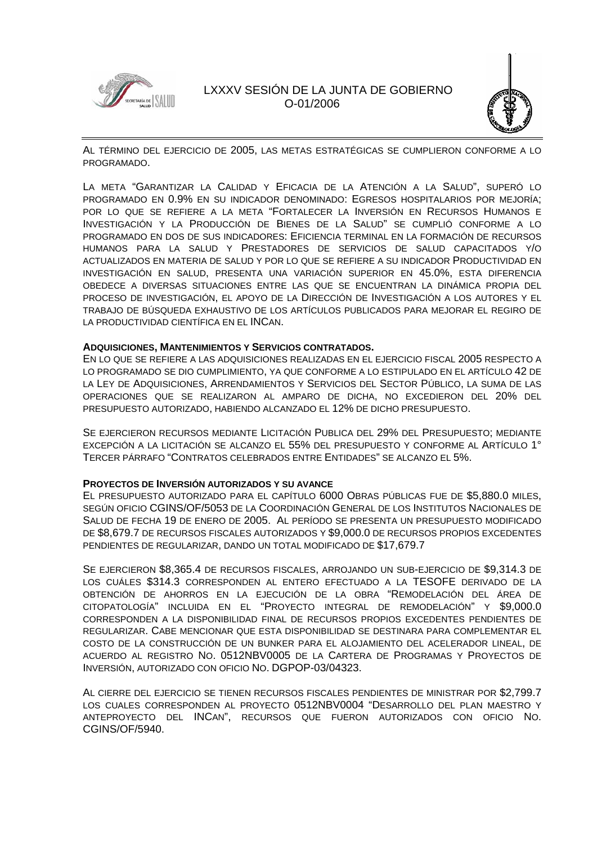



AL TÉRMINO DEL EJERCICIO DE 2005, LAS METAS ESTRATÉGICAS SE CUMPLIERON CONFORME A LO PROGRAMADO.

LA META "GARANTIZAR LA CALIDAD Y EFICACIA DE LA ATENCIÓN A LA SALUD", SUPERÓ LO PROGRAMADO EN 0.9% EN SU INDICADOR DENOMINADO: EGRESOS HOSPITALARIOS POR MEJORÍA; POR LO QUE SE REFIERE A LA META "FORTALECER LA INVERSIÓN EN RECURSOS HUMANOS E INVESTIGACIÓN Y LA PRODUCCIÓN DE BIENES DE LA SALUD" SE CUMPLIÓ CONFORME A LO PROGRAMADO EN DOS DE SUS INDICADORES: EFICIENCIA TERMINAL EN LA FORMACIÓN DE RECURSOS HUMANOS PARA LA SALUD Y PRESTADORES DE SERVICIOS DE SALUD CAPACITADOS Y/O ACTUALIZADOS EN MATERIA DE SALUD Y POR LO QUE SE REFIERE A SU INDICADOR PRODUCTIVIDAD EN INVESTIGACIÓN EN SALUD, PRESENTA UNA VARIACIÓN SUPERIOR EN 45.0%, ESTA DIFERENCIA OBEDECE A DIVERSAS SITUACIONES ENTRE LAS QUE SE ENCUENTRAN LA DINÁMICA PROPIA DEL PROCESO DE INVESTIGACIÓN, EL APOYO DE LA DIRECCIÓN DE INVESTIGACIÓN A LOS AUTORES Y EL TRABAJO DE BÚSQUEDA EXHAUSTIVO DE LOS ARTÍCULOS PUBLICADOS PARA MEJORAR EL REGIRO DE LA PRODUCTIVIDAD CIENTÍFICA EN EL INCAN.

### **ADQUISICIONES, MANTENIMIENTOS Y SERVICIOS CONTRATADOS.**

EN LO QUE SE REFIERE A LAS ADQUISICIONES REALIZADAS EN EL EJERCICIO FISCAL 2005 RESPECTO A LO PROGRAMADO SE DIO CUMPLIMIENTO, YA QUE CONFORME A LO ESTIPULADO EN EL ARTÍCULO 42 DE LA LEY DE ADQUISICIONES, ARRENDAMIENTOS Y SERVICIOS DEL SECTOR PÚBLICO, LA SUMA DE LAS OPERACIONES QUE SE REALIZARON AL AMPARO DE DICHA, NO EXCEDIERON DEL 20% DEL PRESUPUESTO AUTORIZADO, HABIENDO ALCANZADO EL 12% DE DICHO PRESUPUESTO.

SE EJERCIERON RECURSOS MEDIANTE LICITACIÓN PUBLICA DEL 29% DEL PRESUPUESTO; MEDIANTE EXCEPCIÓN A LA LICITACIÓN SE ALCANZO EL 55% DEL PRESUPUESTO Y CONFORME AL ARTÍCULO 1° TERCER PÁRRAFO "CONTRATOS CELEBRADOS ENTRE ENTIDADES" SE ALCANZO EL 5%.

### **PROYECTOS DE INVERSIÓN AUTORIZADOS Y SU AVANCE**

EL PRESUPUESTO AUTORIZADO PARA EL CAPÍTULO 6000 OBRAS PÚBLICAS FUE DE \$5,880.0 MILES, SEGÚN OFICIO CGINS/OF/5053 DE LA COORDINACIÓN GENERAL DE LOS INSTITUTOS NACIONALES DE SALUD DE FECHA 19 DE ENERO DE 2005. AL PERÍODO SE PRESENTA UN PRESUPUESTO MODIFICADO DE \$8,679.7 DE RECURSOS FISCALES AUTORIZADOS Y \$9,000.0 DE RECURSOS PROPIOS EXCEDENTES PENDIENTES DE REGULARIZAR, DANDO UN TOTAL MODIFICADO DE \$17,679.7

SE EJERCIERON \$8,365.4 DE RECURSOS FISCALES, ARROJANDO UN SUB-EJERCICIO DE \$9,314.3 DE LOS CUÁLES \$314.3 CORRESPONDEN AL ENTERO EFECTUADO A LA TESOFE DERIVADO DE LA OBTENCIÓN DE AHORROS EN LA EJECUCIÓN DE LA OBRA "REMODELACIÓN DEL ÁREA DE CITOPATOLOGÍA" INCLUIDA EN EL "PROYECTO INTEGRAL DE REMODELACIÓN" Y \$9,000.0 CORRESPONDEN A LA DISPONIBILIDAD FINAL DE RECURSOS PROPIOS EXCEDENTES PENDIENTES DE REGULARIZAR. CABE MENCIONAR QUE ESTA DISPONIBILIDAD SE DESTINARA PARA COMPLEMENTAR EL COSTO DE LA CONSTRUCCIÓN DE UN BUNKER PARA EL ALOJAMIENTO DEL ACELERADOR LINEAL, DE ACUERDO AL REGISTRO NO. 0512NBV0005 DE LA CARTERA DE PROGRAMAS Y PROYECTOS DE INVERSIÓN, AUTORIZADO CON OFICIO NO. DGPOP-03/04323.

AL CIERRE DEL EJERCICIO SE TIENEN RECURSOS FISCALES PENDIENTES DE MINISTRAR POR \$2,799.7 LOS CUALES CORRESPONDEN AL PROYECTO 0512NBV0004 "DESARROLLO DEL PLAN MAESTRO Y ANTEPROYECTO DEL INCAN", RECURSOS QUE FUERON AUTORIZADOS CON OFICIO NO. CGINS/OF/5940.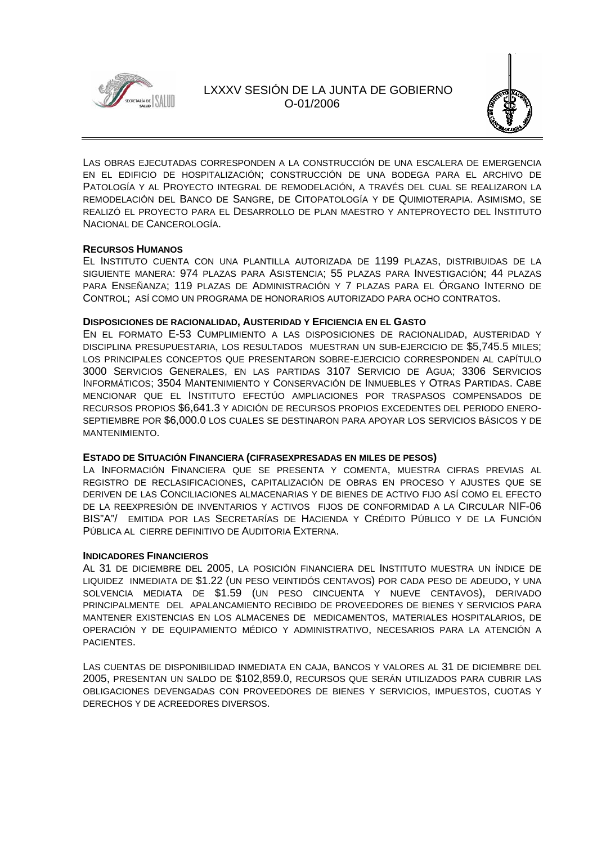



LAS OBRAS EJECUTADAS CORRESPONDEN A LA CONSTRUCCIÓN DE UNA ESCALERA DE EMERGENCIA EN EL EDIFICIO DE HOSPITALIZACIÓN; CONSTRUCCIÓN DE UNA BODEGA PARA EL ARCHIVO DE PATOLOGÍA Y AL PROYECTO INTEGRAL DE REMODELACIÓN, A TRAVÉS DEL CUAL SE REALIZARON LA REMODELACIÓN DEL BANCO DE SANGRE, DE CITOPATOLOGÍA Y DE QUIMIOTERAPIA. ASIMISMO, SE REALIZÓ EL PROYECTO PARA EL DESARROLLO DE PLAN MAESTRO Y ANTEPROYECTO DEL INSTITUTO NACIONAL DE CANCEROLOGÍA.

### **RECURSOS HUMANOS**

EL INSTITUTO CUENTA CON UNA PLANTILLA AUTORIZADA DE 1199 PLAZAS, DISTRIBUIDAS DE LA SIGUIENTE MANERA: 974 PLAZAS PARA ASISTENCIA; 55 PLAZAS PARA INVESTIGACIÓN; 44 PLAZAS PARA ENSEÑANZA; 119 PLAZAS DE ADMINISTRACIÓN Y 7 PLAZAS PARA EL ÓRGANO INTERNO DE CONTROL; ASÍ COMO UN PROGRAMA DE HONORARIOS AUTORIZADO PARA OCHO CONTRATOS.

### **DISPOSICIONES DE RACIONALIDAD, AUSTERIDAD Y EFICIENCIA EN EL GASTO**

EN EL FORMATO E-53 CUMPLIMIENTO A LAS DISPOSICIONES DE RACIONALIDAD, AUSTERIDAD Y DISCIPLINA PRESUPUESTARIA, LOS RESULTADOS MUESTRAN UN SUB-EJERCICIO DE \$5,745.5 MILES; LOS PRINCIPALES CONCEPTOS QUE PRESENTARON SOBRE-EJERCICIO CORRESPONDEN AL CAPÍTULO 3000 SERVICIOS GENERALES, EN LAS PARTIDAS 3107 SERVICIO DE AGUA; 3306 SERVICIOS INFORMÁTICOS; 3504 MANTENIMIENTO Y CONSERVACIÓN DE INMUEBLES Y OTRAS PARTIDAS. CABE MENCIONAR QUE EL INSTITUTO EFECTÚO AMPLIACIONES POR TRASPASOS COMPENSADOS DE RECURSOS PROPIOS \$6,641.3 Y ADICIÓN DE RECURSOS PROPIOS EXCEDENTES DEL PERIODO ENERO-SEPTIEMBRE POR \$6,000.0 LOS CUALES SE DESTINARON PARA APOYAR LOS SERVICIOS BÁSICOS Y DE MANTENIMIENTO.

### **ESTADO DE SITUACIÓN FINANCIERA (CIFRASEXPRESADAS EN MILES DE PESOS)**

LA INFORMACIÓN FINANCIERA QUE SE PRESENTA Y COMENTA, MUESTRA CIFRAS PREVIAS AL REGISTRO DE RECLASIFICACIONES, CAPITALIZACIÓN DE OBRAS EN PROCESO Y AJUSTES QUE SE DERIVEN DE LAS CONCILIACIONES ALMACENARIAS Y DE BIENES DE ACTIVO FIJO ASÍ COMO EL EFECTO DE LA REEXPRESIÓN DE INVENTARIOS Y ACTIVOS FIJOS DE CONFORMIDAD A LA CIRCULAR NIF-06 BIS"A"/ EMITIDA POR LAS SECRETARÍAS DE HACIENDA Y CRÉDITO PÚBLICO Y DE LA FUNCIÓN PÚBLICA AL CIERRE DEFINITIVO DE AUDITORIA EXTERNA.

### **INDICADORES FINANCIEROS**

AL 31 DE DICIEMBRE DEL 2005, LA POSICIÓN FINANCIERA DEL INSTITUTO MUESTRA UN ÍNDICE DE LIQUIDEZ INMEDIATA DE \$1.22 (UN PESO VEINTIDÓS CENTAVOS) POR CADA PESO DE ADEUDO, Y UNA SOLVENCIA MEDIATA DE \$1.59 (UN PESO CINCUENTA Y NUEVE CENTAVOS), DERIVADO PRINCIPALMENTE DEL APALANCAMIENTO RECIBIDO DE PROVEEDORES DE BIENES Y SERVICIOS PARA MANTENER EXISTENCIAS EN LOS ALMACENES DE MEDICAMENTOS, MATERIALES HOSPITALARIOS, DE OPERACIÓN Y DE EQUIPAMIENTO MÉDICO Y ADMINISTRATIVO, NECESARIOS PARA LA ATENCIÓN A PACIENTES.

LAS CUENTAS DE DISPONIBILIDAD INMEDIATA EN CAJA, BANCOS Y VALORES AL 31 DE DICIEMBRE DEL 2005, PRESENTAN UN SALDO DE \$102,859.0, RECURSOS QUE SERÁN UTILIZADOS PARA CUBRIR LAS OBLIGACIONES DEVENGADAS CON PROVEEDORES DE BIENES Y SERVICIOS, IMPUESTOS, CUOTAS Y DERECHOS Y DE ACREEDORES DIVERSOS.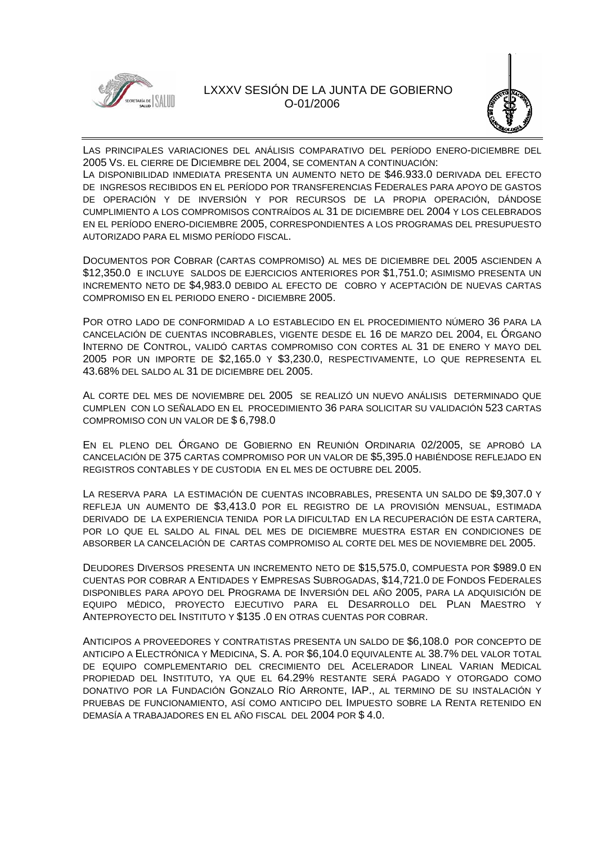



LAS PRINCIPALES VARIACIONES DEL ANÁLISIS COMPARATIVO DEL PERÍODO ENERO-DICIEMBRE DEL 2005 VS. EL CIERRE DE DICIEMBRE DEL 2004, SE COMENTAN A CONTINUACIÓN:

LA DISPONIBILIDAD INMEDIATA PRESENTA UN AUMENTO NETO DE \$46.933.0 DERIVADA DEL EFECTO DE INGRESOS RECIBIDOS EN EL PERÍODO POR TRANSFERENCIAS FEDERALES PARA APOYO DE GASTOS DE OPERACIÓN Y DE INVERSIÓN Y POR RECURSOS DE LA PROPIA OPERACIÓN, DÁNDOSE CUMPLIMIENTO A LOS COMPROMISOS CONTRAÍDOS AL 31 DE DICIEMBRE DEL 2004 Y LOS CELEBRADOS EN EL PERÍODO ENERO-DICIEMBRE 2005, CORRESPONDIENTES A LOS PROGRAMAS DEL PRESUPUESTO AUTORIZADO PARA EL MISMO PERÍODO FISCAL.

DOCUMENTOS POR COBRAR (CARTAS COMPROMISO) AL MES DE DICIEMBRE DEL 2005 ASCIENDEN A \$12,350.0 E INCLUYE SALDOS DE EJERCICIOS ANTERIORES POR \$1,751.0; ASIMISMO PRESENTA UN INCREMENTO NETO DE \$4,983.0 DEBIDO AL EFECTO DE COBRO Y ACEPTACIÓN DE NUEVAS CARTAS COMPROMISO EN EL PERIODO ENERO - DICIEMBRE 2005.

POR OTRO LADO DE CONFORMIDAD A LO ESTABLECIDO EN EL PROCEDIMIENTO NÚMERO 36 PARA LA CANCELACIÓN DE CUENTAS INCOBRABLES, VIGENTE DESDE EL 16 DE MARZO DEL 2004, EL ÓRGANO INTERNO DE CONTROL, VALIDÓ CARTAS COMPROMISO CON CORTES AL 31 DE ENERO Y MAYO DEL 2005 POR UN IMPORTE DE \$2,165.0 Y \$3,230.0, RESPECTIVAMENTE, LO QUE REPRESENTA EL 43.68% DEL SALDO AL 31 DE DICIEMBRE DEL 2005.

AL CORTE DEL MES DE NOVIEMBRE DEL 2005 SE REALIZÓ UN NUEVO ANÁLISIS DETERMINADO QUE CUMPLEN CON LO SEÑALADO EN EL PROCEDIMIENTO 36 PARA SOLICITAR SU VALIDACIÓN 523 CARTAS COMPROMISO CON UN VALOR DE \$ 6,798.0

EN EL PLENO DEL ÓRGANO DE GOBIERNO EN REUNIÓN ORDINARIA 02/2005, SE APROBÓ LA CANCELACIÓN DE 375 CARTAS COMPROMISO POR UN VALOR DE \$5,395.0 HABIÉNDOSE REFLEJADO EN REGISTROS CONTABLES Y DE CUSTODIA EN EL MES DE OCTUBRE DEL 2005.

LA RESERVA PARA LA ESTIMACIÓN DE CUENTAS INCOBRABLES, PRESENTA UN SALDO DE \$9,307.0 Y REFLEJA UN AUMENTO DE \$3,413.0 POR EL REGISTRO DE LA PROVISIÓN MENSUAL, ESTIMADA DERIVADO DE LA EXPERIENCIA TENIDA POR LA DIFICULTAD EN LA RECUPERACIÓN DE ESTA CARTERA, POR LO QUE EL SALDO AL FINAL DEL MES DE DICIEMBRE MUESTRA ESTAR EN CONDICIONES DE ABSORBER LA CANCELACIÓN DE CARTAS COMPROMISO AL CORTE DEL MES DE NOVIEMBRE DEL 2005.

DEUDORES DIVERSOS PRESENTA UN INCREMENTO NETO DE \$15,575.0, COMPUESTA POR \$989.0 EN CUENTAS POR COBRAR A ENTIDADES Y EMPRESAS SUBROGADAS, \$14,721.0 DE FONDOS FEDERALES DISPONIBLES PARA APOYO DEL PROGRAMA DE INVERSIÓN DEL AÑO 2005, PARA LA ADQUISICIÓN DE EQUIPO MÉDICO, PROYECTO EJECUTIVO PARA EL DESARROLLO DEL PLAN MAESTRO Y ANTEPROYECTO DEL INSTITUTO Y \$135 .0 EN OTRAS CUENTAS POR COBRAR.

ANTICIPOS A PROVEEDORES Y CONTRATISTAS PRESENTA UN SALDO DE \$6,108.0 POR CONCEPTO DE ANTICIPO A ELECTRÓNICA Y MEDICINA, S. A. POR \$6,104.0 EQUIVALENTE AL 38.7% DEL VALOR TOTAL DE EQUIPO COMPLEMENTARIO DEL CRECIMIENTO DEL ACELERADOR LINEAL VARIAN MEDICAL PROPIEDAD DEL INSTITUTO, YA QUE EL 64.29% RESTANTE SERÁ PAGADO Y OTORGADO COMO DONATIVO POR LA FUNDACIÓN GONZALO RÍO ARRONTE, IAP., AL TERMINO DE SU INSTALACIÓN Y PRUEBAS DE FUNCIONAMIENTO, ASÍ COMO ANTICIPO DEL IMPUESTO SOBRE LA RENTA RETENIDO EN DEMASÍA A TRABAJADORES EN EL AÑO FISCAL DEL 2004 POR \$ 4.0.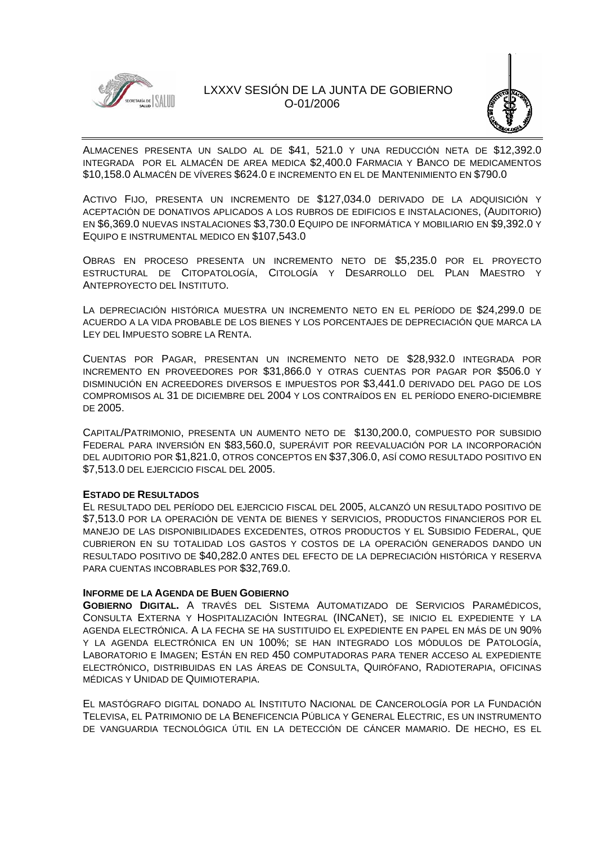



ALMACENES PRESENTA UN SALDO AL DE \$41, 521.0 Y UNA REDUCCIÓN NETA DE \$12,392.0 INTEGRADA POR EL ALMACÉN DE AREA MEDICA \$2,400.0 FARMACIA Y BANCO DE MEDICAMENTOS \$10,158.0 ALMACÉN DE VÍVERES \$624.0 E INCREMENTO EN EL DE MANTENIMIENTO EN \$790.0

ACTIVO FIJO, PRESENTA UN INCREMENTO DE \$127,034.0 DERIVADO DE LA ADQUISICIÓN Y ACEPTACIÓN DE DONATIVOS APLICADOS A LOS RUBROS DE EDIFICIOS E INSTALACIONES, (AUDITORIO) EN \$6,369.0 NUEVAS INSTALACIONES \$3,730.0 EQUIPO DE INFORMÁTICA Y MOBILIARIO EN \$9,392.0 Y EQUIPO E INSTRUMENTAL MEDICO EN \$107,543.0

OBRAS EN PROCESO PRESENTA UN INCREMENTO NETO DE \$5,235.0 POR EL PROYECTO ESTRUCTURAL DE CITOPATOLOGÍA, CITOLOGÍA Y DESARROLLO DEL PLAN MAESTRO Y ANTEPROYECTO DEL INSTITUTO.

LA DEPRECIACIÓN HISTÓRICA MUESTRA UN INCREMENTO NETO EN EL PERÍODO DE \$24,299.0 DE ACUERDO A LA VIDA PROBABLE DE LOS BIENES Y LOS PORCENTAJES DE DEPRECIACIÓN QUE MARCA LA LEY DEL IMPUESTO SOBRE LA RENTA.

CUENTAS POR PAGAR, PRESENTAN UN INCREMENTO NETO DE \$28,932.0 INTEGRADA POR INCREMENTO EN PROVEEDORES POR \$31,866.0 Y OTRAS CUENTAS POR PAGAR POR \$506.0 Y DISMINUCIÓN EN ACREEDORES DIVERSOS E IMPUESTOS POR \$3,441.0 DERIVADO DEL PAGO DE LOS COMPROMISOS AL 31 DE DICIEMBRE DEL 2004 Y LOS CONTRAÍDOS EN EL PERÍODO ENERO-DICIEMBRE DE 2005.

CAPITAL/PATRIMONIO, PRESENTA UN AUMENTO NETO DE \$130,200.0, COMPUESTO POR SUBSIDIO FEDERAL PARA INVERSIÓN EN \$83,560.0, SUPERÁVIT POR REEVALUACIÓN POR LA INCORPORACIÓN DEL AUDITORIO POR \$1,821.0, OTROS CONCEPTOS EN \$37,306.0, ASÍ COMO RESULTADO POSITIVO EN \$7,513.0 DEL EJERCICIO FISCAL DEL 2005.

### **ESTADO DE RESULTADOS**

EL RESULTADO DEL PERÍODO DEL EJERCICIO FISCAL DEL 2005, ALCANZÓ UN RESULTADO POSITIVO DE \$7,513.0 POR LA OPERACIÓN DE VENTA DE BIENES Y SERVICIOS, PRODUCTOS FINANCIEROS POR EL MANEJO DE LAS DISPONIBILIDADES EXCEDENTES, OTROS PRODUCTOS Y EL SUBSIDIO FEDERAL, QUE CUBRIERON EN SU TOTALIDAD LOS GASTOS Y COSTOS DE LA OPERACIÓN GENERADOS DANDO UN RESULTADO POSITIVO DE \$40,282.0 ANTES DEL EFECTO DE LA DEPRECIACIÓN HISTÓRICA Y RESERVA PARA CUENTAS INCOBRABLES POR \$32,769.0.

### **INFORME DE LA AGENDA DE BUEN GOBIERNO**

**GOBIERNO DIGITAL.** A TRAVÉS DEL SISTEMA AUTOMATIZADO DE SERVICIOS PARAMÉDICOS, CONSULTA EXTERNA Y HOSPITALIZACIÓN INTEGRAL (INCANET), SE INICIO EL EXPEDIENTE Y LA AGENDA ELECTRÓNICA. A LA FECHA SE HA SUSTITUIDO EL EXPEDIENTE EN PAPEL EN MÁS DE UN 90% Y LA AGENDA ELECTRÓNICA EN UN 100%; SE HAN INTEGRADO LOS MÓDULOS DE PATOLOGÍA, LABORATORIO E IMAGEN; ESTÁN EN RED 450 COMPUTADORAS PARA TENER ACCESO AL EXPEDIENTE ELECTRÓNICO, DISTRIBUIDAS EN LAS ÁREAS DE CONSULTA, QUIRÓFANO, RADIOTERAPIA, OFICINAS MÉDICAS Y UNIDAD DE QUIMIOTERAPIA.

EL MASTÓGRAFO DIGITAL DONADO AL INSTITUTO NACIONAL DE CANCEROLOGÍA POR LA FUNDACIÓN TELEVISA, EL PATRIMONIO DE LA BENEFICENCIA PÚBLICA Y GENERAL ELECTRIC, ES UN INSTRUMENTO DE VANGUARDIA TECNOLÓGICA ÚTIL EN LA DETECCIÓN DE CÁNCER MAMARIO. DE HECHO, ES EL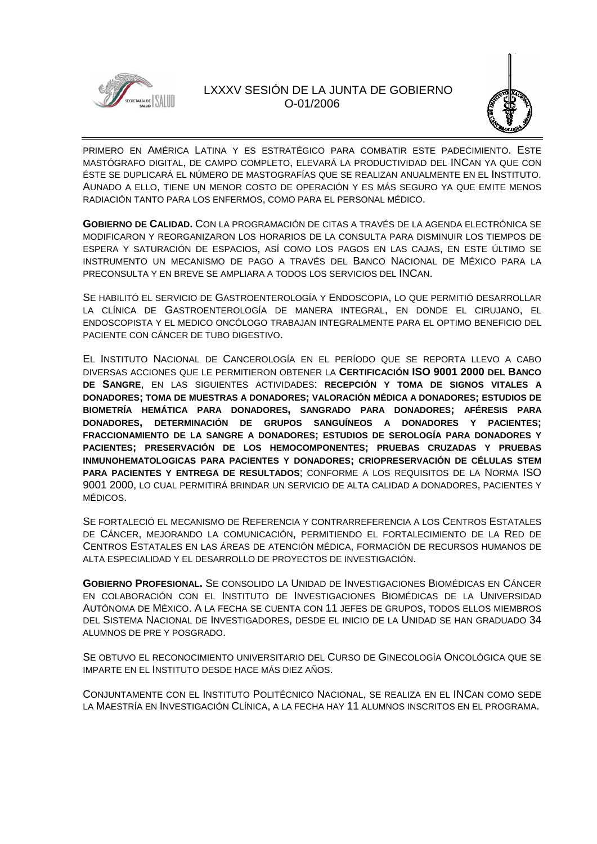



PRIMERO EN AMÉRICA LATINA Y ES ESTRATÉGICO PARA COMBATIR ESTE PADECIMIENTO. ESTE MASTÓGRAFO DIGITAL, DE CAMPO COMPLETO, ELEVARÁ LA PRODUCTIVIDAD DEL INCAN YA QUE CON ÉSTE SE DUPLICARÁ EL NÚMERO DE MASTOGRAFÍAS QUE SE REALIZAN ANUALMENTE EN EL INSTITUTO. AUNADO A ELLO, TIENE UN MENOR COSTO DE OPERACIÓN Y ES MÁS SEGURO YA QUE EMITE MENOS RADIACIÓN TANTO PARA LOS ENFERMOS, COMO PARA EL PERSONAL MÉDICO.

**GOBIERNO DE CALIDAD.** CON LA PROGRAMACIÓN DE CITAS A TRAVÉS DE LA AGENDA ELECTRÓNICA SE MODIFICARON Y REORGANIZARON LOS HORARIOS DE LA CONSULTA PARA DISMINUIR LOS TIEMPOS DE ESPERA Y SATURACIÓN DE ESPACIOS, ASÍ COMO LOS PAGOS EN LAS CAJAS, EN ESTE ÚLTIMO SE INSTRUMENTO UN MECANISMO DE PAGO A TRAVÉS DEL BANCO NACIONAL DE MÉXICO PARA LA PRECONSULTA Y EN BREVE SE AMPLIARA A TODOS LOS SERVICIOS DEL INCAN.

SE HABILITÓ EL SERVICIO DE GASTROENTEROLOGÍA Y ENDOSCOPIA, LO QUE PERMITIÓ DESARROLLAR LA CLÍNICA DE GASTROENTEROLOGÍA DE MANERA INTEGRAL, EN DONDE EL CIRUJANO, EL ENDOSCOPISTA Y EL MEDICO ONCÓLOGO TRABAJAN INTEGRALMENTE PARA EL OPTIMO BENEFICIO DEL PACIENTE CON CÁNCER DE TUBO DIGESTIVO.

EL INSTITUTO NACIONAL DE CANCEROLOGÍA EN EL PERÍODO QUE SE REPORTA LLEVO A CABO DIVERSAS ACCIONES QUE LE PERMITIERON OBTENER LA **CERTIFICACIÓN ISO 9001 2000 DEL BANCO DE SANGRE**, EN LAS SIGUIENTES ACTIVIDADES: **RECEPCIÓN Y TOMA DE SIGNOS VITALES A DONADORES; TOMA DE MUESTRAS A DONADORES; VALORACIÓN MÉDICA A DONADORES; ESTUDIOS DE BIOMETRÍA HEMÁTICA PARA DONADORES, SANGRADO PARA DONADORES; AFÉRESIS PARA DONADORES, DETERMINACIÓN DE GRUPOS SANGUÍNEOS A DONADORES Y PACIENTES; FRACCIONAMIENTO DE LA SANGRE A DONADORES; ESTUDIOS DE SEROLOGÍA PARA DONADORES Y PACIENTES; PRESERVACIÓN DE LOS HEMOCOMPONENTES; PRUEBAS CRUZADAS Y PRUEBAS INMUNOHEMATOLOGICAS PARA PACIENTES Y DONADORES; CRIOPRESERVACIÓN DE CÉLULAS STEM PARA PACIENTES Y ENTREGA DE RESULTADOS**; CONFORME A LOS REQUISITOS DE LA NORMA ISO 9001 2000, LO CUAL PERMITIRÁ BRINDAR UN SERVICIO DE ALTA CALIDAD A DONADORES, PACIENTES Y MÉDICOS.

SE FORTALECIÓ EL MECANISMO DE REFERENCIA Y CONTRARREFERENCIA A LOS CENTROS ESTATALES DE CÁNCER, MEJORANDO LA COMUNICACIÓN, PERMITIENDO EL FORTALECIMIENTO DE LA RED DE CENTROS ESTATALES EN LAS ÁREAS DE ATENCIÓN MÉDICA, FORMACIÓN DE RECURSOS HUMANOS DE ALTA ESPECIALIDAD Y EL DESARROLLO DE PROYECTOS DE INVESTIGACIÓN.

**GOBIERNO PROFESIONAL.** SE CONSOLIDO LA UNIDAD DE INVESTIGACIONES BIOMÉDICAS EN CÁNCER EN COLABORACIÓN CON EL INSTITUTO DE INVESTIGACIONES BIOMÉDICAS DE LA UNIVERSIDAD AUTÓNOMA DE MÉXICO. A LA FECHA SE CUENTA CON 11 JEFES DE GRUPOS, TODOS ELLOS MIEMBROS DEL SISTEMA NACIONAL DE INVESTIGADORES, DESDE EL INICIO DE LA UNIDAD SE HAN GRADUADO 34 ALUMNOS DE PRE Y POSGRADO.

SE OBTUVO EL RECONOCIMIENTO UNIVERSITARIO DEL CURSO DE GINECOLOGÍA ONCOLÓGICA QUE SE IMPARTE EN EL INSTITUTO DESDE HACE MÁS DIEZ AÑOS.

CONJUNTAMENTE CON EL INSTITUTO POLITÉCNICO NACIONAL, SE REALIZA EN EL INCAN COMO SEDE LA MAESTRÍA EN INVESTIGACIÓN CLÍNICA, A LA FECHA HAY 11 ALUMNOS INSCRITOS EN EL PROGRAMA.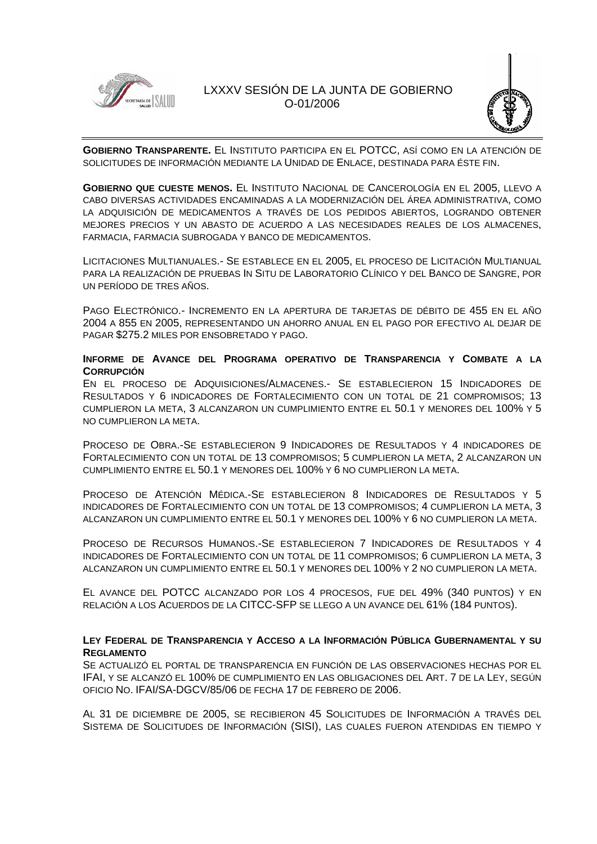



**GOBIERNO TRANSPARENTE.** EL INSTITUTO PARTICIPA EN EL POTCC, ASÍ COMO EN LA ATENCIÓN DE SOLICITUDES DE INFORMACIÓN MEDIANTE LA UNIDAD DE ENLACE, DESTINADA PARA ÉSTE FIN.

**GOBIERNO QUE CUESTE MENOS.** EL INSTITUTO NACIONAL DE CANCEROLOGÍA EN EL 2005, LLEVO A CABO DIVERSAS ACTIVIDADES ENCAMINADAS A LA MODERNIZACIÓN DEL ÁREA ADMINISTRATIVA, COMO LA ADQUISICIÓN DE MEDICAMENTOS A TRAVÉS DE LOS PEDIDOS ABIERTOS, LOGRANDO OBTENER MEJORES PRECIOS Y UN ABASTO DE ACUERDO A LAS NECESIDADES REALES DE LOS ALMACENES, FARMACIA, FARMACIA SUBROGADA Y BANCO DE MEDICAMENTOS.

LICITACIONES MULTIANUALES.- SE ESTABLECE EN EL 2005, EL PROCESO DE LICITACIÓN MULTIANUAL PARA LA REALIZACIÓN DE PRUEBAS IN SITU DE LABORATORIO CLÍNICO Y DEL BANCO DE SANGRE, POR UN PERÍODO DE TRES AÑOS.

PAGO ELECTRÓNICO.- INCREMENTO EN LA APERTURA DE TARJETAS DE DÉBITO DE 455 EN EL AÑO 2004 A 855 EN 2005, REPRESENTANDO UN AHORRO ANUAL EN EL PAGO POR EFECTIVO AL DEJAR DE PAGAR \$275.2 MILES POR ENSOBRETADO Y PAGO.

### **INFORME DE AVANCE DEL PROGRAMA OPERATIVO DE TRANSPARENCIA Y COMBATE A LA CORRUPCIÓN**

EN EL PROCESO DE ADQUISICIONES/ALMACENES.- SE ESTABLECIERON 15 INDICADORES DE RESULTADOS Y 6 INDICADORES DE FORTALECIMIENTO CON UN TOTAL DE 21 COMPROMISOS; 13 CUMPLIERON LA META, 3 ALCANZARON UN CUMPLIMIENTO ENTRE EL 50.1 Y MENORES DEL 100% Y 5 NO CUMPLIERON LA META.

PROCESO DE OBRA.-SE ESTABLECIERON 9 INDICADORES DE RESULTADOS Y 4 INDICADORES DE FORTALECIMIENTO CON UN TOTAL DE 13 COMPROMISOS; 5 CUMPLIERON LA META, 2 ALCANZARON UN CUMPLIMIENTO ENTRE EL 50.1 Y MENORES DEL 100% Y 6 NO CUMPLIERON LA META.

PROCESO DE ATENCIÓN MÉDICA.-SE ESTABLECIERON 8 INDICADORES DE RESULTADOS Y 5 INDICADORES DE FORTALECIMIENTO CON UN TOTAL DE 13 COMPROMISOS; 4 CUMPLIERON LA META, 3 ALCANZARON UN CUMPLIMIENTO ENTRE EL 50.1 Y MENORES DEL 100% Y 6 NO CUMPLIERON LA META.

PROCESO DE RECURSOS HUMANOS.-SE ESTABLECIERON 7 INDICADORES DE RESULTADOS Y 4 INDICADORES DE FORTALECIMIENTO CON UN TOTAL DE 11 COMPROMISOS; 6 CUMPLIERON LA META, 3 ALCANZARON UN CUMPLIMIENTO ENTRE EL 50.1 Y MENORES DEL 100% Y 2 NO CUMPLIERON LA META.

EL AVANCE DEL POTCC ALCANZADO POR LOS 4 PROCESOS, FUE DEL 49% (340 PUNTOS) Y EN RELACIÓN A LOS ACUERDOS DE LA CITCC-SFP SE LLEGO A UN AVANCE DEL 61% (184 PUNTOS).

### **LEY FEDERAL DE TRANSPARENCIA Y ACCESO A LA INFORMACIÓN PÚBLICA GUBERNAMENTAL Y SU REGLAMENTO**

SE ACTUALIZÓ EL PORTAL DE TRANSPARENCIA EN FUNCIÓN DE LAS OBSERVACIONES HECHAS POR EL IFAI, Y SE ALCANZÓ EL 100% DE CUMPLIMIENTO EN LAS OBLIGACIONES DEL ART. 7 DE LA LEY, SEGÚN OFICIO NO. IFAI/SA-DGCV/85/06 DE FECHA 17 DE FEBRERO DE 2006.

AL 31 DE DICIEMBRE DE 2005, SE RECIBIERON 45 SOLICITUDES DE INFORMACIÓN A TRAVÉS DEL SISTEMA DE SOLICITUDES DE INFORMACIÓN (SISI), LAS CUALES FUERON ATENDIDAS EN TIEMPO Y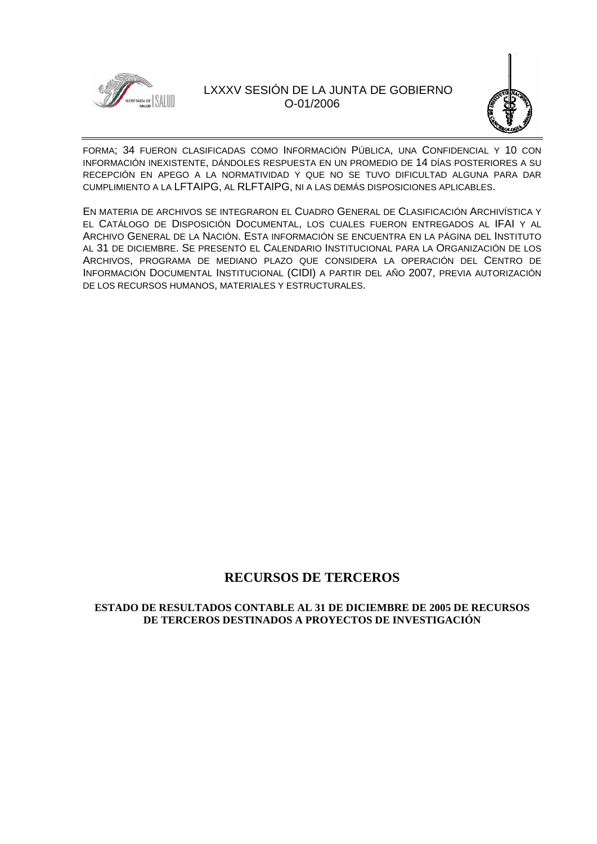



FORMA; 34 FUERON CLASIFICADAS COMO INFORMACIÓN PÚBLICA, UNA CONFIDENCIAL Y 10 CON INFORMACIÓN INEXISTENTE, DÁNDOLES RESPUESTA EN UN PROMEDIO DE 14 DÍAS POSTERIORES A SU RECEPCIÓN EN APEGO A LA NORMATIVIDAD Y QUE NO SE TUVO DIFICULTAD ALGUNA PARA DAR CUMPLIMIENTO A LA LFTAIPG, AL RLFTAIPG, NI A LAS DEMÁS DISPOSICIONES APLICABLES.

EN MATERIA DE ARCHIVOS SE INTEGRARON EL CUADRO GENERAL DE CLASIFICACIÓN ARCHIVÍSTICA Y EL CATÁLOGO DE DISPOSICIÓN DOCUMENTAL, LOS CUALES FUERON ENTREGADOS AL IFAI Y AL ARCHIVO GENERAL DE LA NACIÓN. ESTA INFORMACIÓN SE ENCUENTRA EN LA PÁGINA DEL INSTITUTO AL 31 DE DICIEMBRE. SE PRESENTÓ EL CALENDARIO INSTITUCIONAL PARA LA ORGANIZACIÓN DE LOS ARCHIVOS, PROGRAMA DE MEDIANO PLAZO QUE CONSIDERA LA OPERACIÓN DEL CENTRO DE INFORMACIÓN DOCUMENTAL INSTITUCIONAL (CIDI) A PARTIR DEL AÑO 2007, PREVIA AUTORIZACIÓN DE LOS RECURSOS HUMANOS, MATERIALES Y ESTRUCTURALES.

## **RECURSOS DE TERCEROS**

### **ESTADO DE RESULTADOS CONTABLE AL 31 DE DICIEMBRE DE 2005 DE RECURSOS DE TERCEROS DESTINADOS A PROYECTOS DE INVESTIGACIÓN**